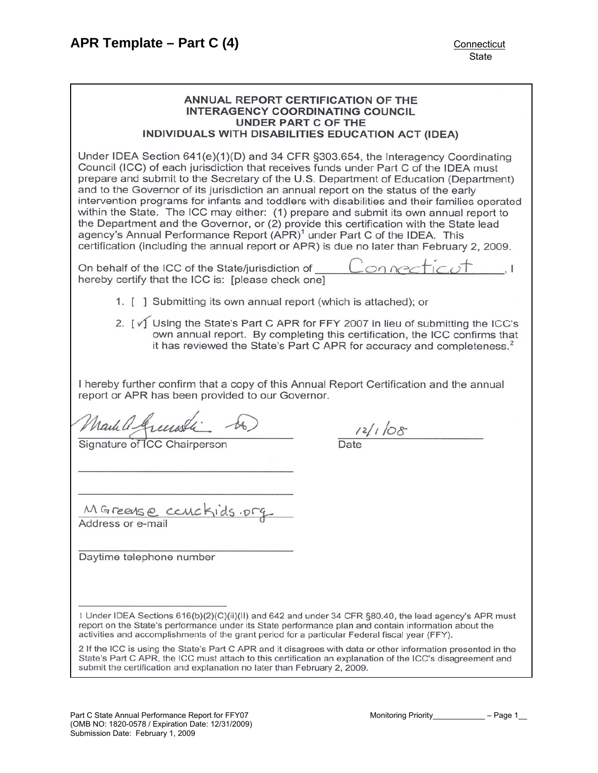#### ANNUAL REPORT CERTIFICATION OF THE **INTERAGENCY COORDINATING COUNCIL UNDER PART C OF THE** INDIVIDUALS WITH DISABILITIES EDUCATION ACT (IDEA)

Under IDEA Section  $641(e)(1)(D)$  and 34 CFR §303.654, the Interagency Coordinating Council (ICC) of each jurisdiction that receives funds under Part C of the IDEA must prepare and submit to the Secretary of the U.S. Department of Education (Department) and to the Governor of its jurisdiction an annual report on the status of the early intervention programs for infants and toddlers with disabilities and their families operated within the State. The ICC may either: (1) prepare and submit its own annual report to the Department and the Governor, or (2) provide this certification with the State lead agency's Annual Performance Report (APR)<sup>1</sup> under Part C of the IDEA. This certification (including the annual report or APR) is due no later than February 2, 2009.

On behalf of the ICC of the State/jurisdiction of hereby certify that the ICC is: [please check one]

- 1. [ ] Submitting its own annual report (which is attached); or
- 2. [√ Using the State's Part C APR for FFY 2007 in lieu of submitting the ICC's own annual report. By completing this certification, the ICC confirms that it has reviewed the State's Part C APR for accuracy and completeness.<sup>2</sup>

I hereby further confirm that a copy of this Annual Report Certification and the annual report or APR has been provided to our Governor.

Mark a Greenste

Signature of ICC Chairperson

 $\frac{12}{16}$ 

MGreense couckids.org Address or e-mail

Daytime telephone number

1 Under IDEA Sections 616(b)(2)(C)(ii)(II) and 642 and under 34 CFR §80.40, the lead agency's APR must report on the State's performance under its State performance plan and contain information about the activities and accomplishments of the grant period for a particular Federal fiscal year (FFY).

2 If the ICC is using the State's Part C APR and it disagrees with data or other information presented in the State's Part C APR, the ICC must attach to this certification an explanation of the ICC's disagreement and submit the certification and explanation no later than February 2, 2009.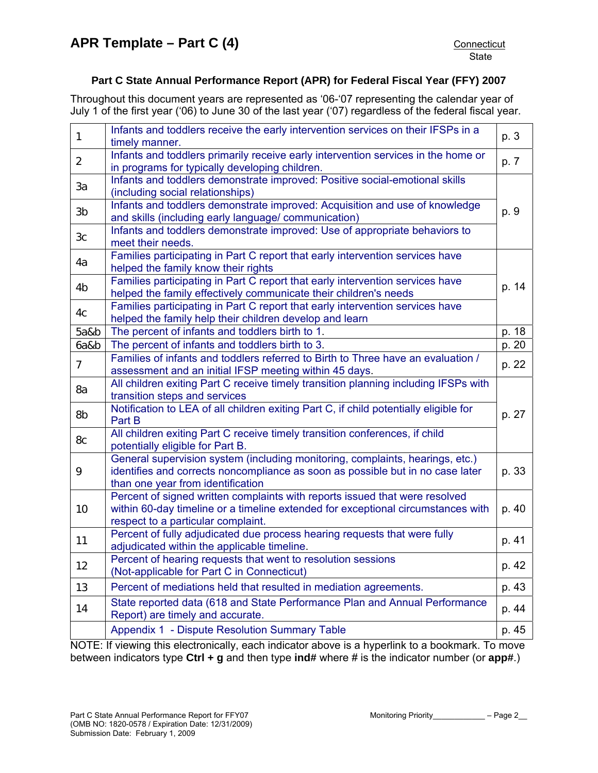## **Part C State Annual Performance Report (APR) for Federal Fiscal Year (FFY) 2007**

Throughout this document years are represented as '06-'07 representing the calendar year of July 1 of the first year ('06) to June 30 of the last year ('07) regardless of the federal fiscal year.

| $\mathbf{1}$   | Infants and toddlers receive the early intervention services on their IFSPs in a<br>timely manner.                                                                                                    | p. 3  |
|----------------|-------------------------------------------------------------------------------------------------------------------------------------------------------------------------------------------------------|-------|
| $\overline{2}$ | Infants and toddlers primarily receive early intervention services in the home or<br>in programs for typically developing children.                                                                   | p. 7  |
| 3a             | Infants and toddlers demonstrate improved: Positive social-emotional skills<br>(including social relationships)                                                                                       |       |
| 3b             | Infants and toddlers demonstrate improved: Acquisition and use of knowledge<br>and skills (including early language/ communication)                                                                   | p. 9  |
| 3 <sub>c</sub> | Infants and toddlers demonstrate improved: Use of appropriate behaviors to<br>meet their needs.                                                                                                       |       |
| 4a             | Families participating in Part C report that early intervention services have<br>helped the family know their rights                                                                                  |       |
| 4 <sub>b</sub> | Families participating in Part C report that early intervention services have<br>helped the family effectively communicate their children's needs                                                     | p. 14 |
| 4c             | Families participating in Part C report that early intervention services have<br>helped the family help their children develop and learn                                                              |       |
| 5a&b           | The percent of infants and toddlers birth to 1.                                                                                                                                                       | p. 18 |
| 6a&b           | The percent of infants and toddlers birth to 3.                                                                                                                                                       | p. 20 |
| $\overline{7}$ | Families of infants and toddlers referred to Birth to Three have an evaluation /<br>assessment and an initial IFSP meeting within 45 days.                                                            | p. 22 |
| 8a             | All children exiting Part C receive timely transition planning including IFSPs with<br>transition steps and services                                                                                  |       |
| 8b             | Notification to LEA of all children exiting Part C, if child potentially eligible for<br>Part B                                                                                                       | p. 27 |
| 8c             | All children exiting Part C receive timely transition conferences, if child<br>potentially eligible for Part B.                                                                                       |       |
| 9              | General supervision system (including monitoring, complaints, hearings, etc.)<br>identifies and corrects noncompliance as soon as possible but in no case later<br>than one year from identification  | p. 33 |
| 10             | Percent of signed written complaints with reports issued that were resolved<br>within 60-day timeline or a timeline extended for exceptional circumstances with<br>respect to a particular complaint. | p. 40 |
| 11             | Percent of fully adjudicated due process hearing requests that were fully<br>adjudicated within the applicable timeline.                                                                              | p. 41 |
| 12             | Percent of hearing requests that went to resolution sessions<br>(Not-applicable for Part C in Connecticut)                                                                                            | p. 42 |
| 13             | Percent of mediations held that resulted in mediation agreements.                                                                                                                                     | p. 43 |
| 14             | State reported data (618 and State Performance Plan and Annual Performance<br>Report) are timely and accurate.                                                                                        | p. 44 |
|                | Appendix 1 - Dispute Resolution Summary Table                                                                                                                                                         | p. 45 |

NOTE: If viewing this electronically, each indicator above is a hyperlink to a bookmark. To move between indicators type **Ctrl + g** and then type **ind#** where # is the indicator number (or **app#**.)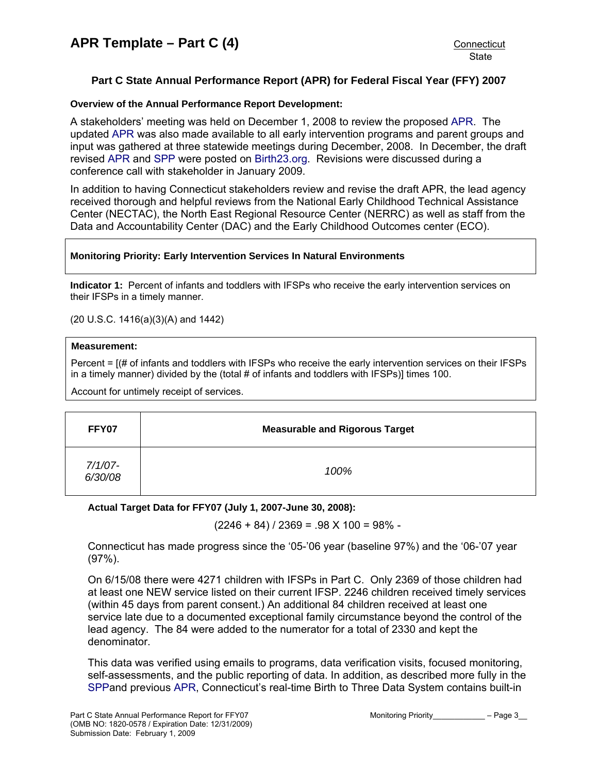## <span id="page-2-0"></span>**Part C State Annual Performance Report (APR) for Federal Fiscal Year (FFY) 2007**

## **Overview of the Annual Performance Report Development:**

A stakeholders' meeting was held on December 1, 2008 to review the proposed [APR.](http://www.birth23.org/state_performance_plans_and_annu.htm) The updated [APR](http://www.birth23.org/state_performance_plans_and_annu.htm) was also made available to all early intervention programs and parent groups and input was gathered at three statewide meetings during December, 2008. In December, the draft revised [APR](http://www.birth23.org/state_performance_plans_and_annu.htm) and [SPP](http://www.birth23.org/state_performance_plans_and_annu.htm) were posted on [Birth23.org.](http://www.birth23.org/) Revisions were discussed during a conference call with stakeholder in January 2009.

In addition to having Connecticut stakeholders review and revise the draft APR, the lead agency received thorough and helpful reviews from the National Early Childhood Technical Assistance Center (NECTAC), the North East Regional Resource Center (NERRC) as well as staff from the Data and Accountability Center (DAC) and the Early Childhood Outcomes center (ECO).

### **Monitoring Priority: Early Intervention Services In Natural Environments**

**Indicator 1:** Percent of infants and toddlers with IFSPs who receive the early intervention services on their IFSPs in a timely manner.

(20 U.S.C. 1416(a)(3)(A) and 1442)

#### **Measurement:**

Percent = [(# of infants and toddlers with IFSPs who receive the early intervention services on their IFSPs in a timely manner) divided by the (total # of infants and toddlers with IFSPs)] times 100.

Account for untimely receipt of services.

| FFY07              | <b>Measurable and Rigorous Target</b> |  |
|--------------------|---------------------------------------|--|
| 7/1/07-<br>6/30/08 | 100%                                  |  |

## **Actual Target Data for FFY07 (July 1, 2007-June 30, 2008):**

 $(2246 + 84) / 2369 = .98 \times 100 = 98\%$ 

Connecticut has made progress since the '05-'06 year (baseline 97%) and the '06-'07 year (97%).

On 6/15/08 there were 4271 children with IFSPs in Part C. Only 2369 of those children had at least one NEW service listed on their current IFSP. 2246 children received timely services (within 45 days from parent consent.) An additional 84 children received at least one service late due to a documented exceptional family circumstance beyond the control of the lead agency. The 84 were added to the numerator for a total of 2330 and kept the denominator.

This data was verified using emails to programs, data verification visits, focused monitoring, self-assessments, and the public reporting of data. In addition, as described more fully in the [SPPa](http://www.birth23.org/state_performance_plans_and_annu.htm)nd previous [APR,](http://www.birth23.org/state_performance_plans_and_annu.htm) Connecticut's real-time Birth to Three Data System contains built-in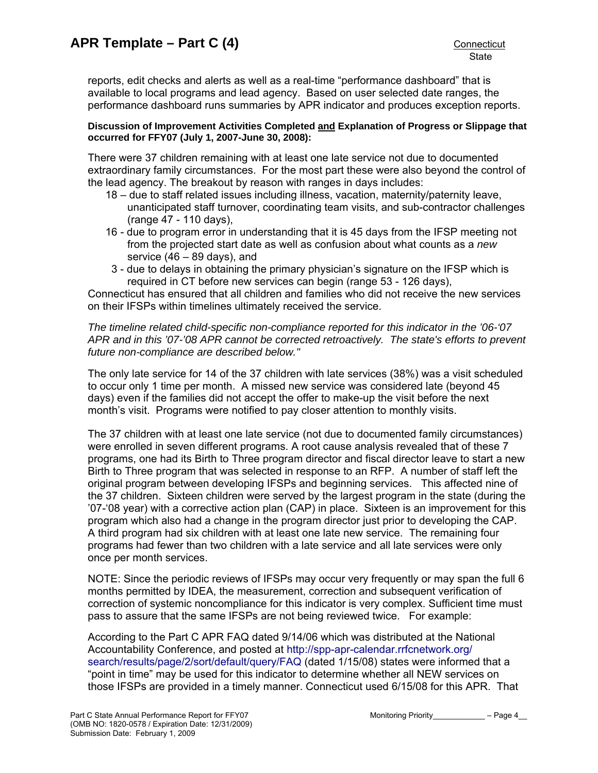reports, edit checks and alerts as well as a real-time "performance dashboard" that is available to local programs and lead agency. Based on user selected date ranges, the performance dashboard runs summaries by APR indicator and produces exception reports.

#### **Discussion of Improvement Activities Completed and Explanation of Progress or Slippage that occurred for FFY07 (July 1, 2007-June 30, 2008):**

There were 37 children remaining with at least one late service not due to documented extraordinary family circumstances. For the most part these were also beyond the control of the lead agency. The breakout by reason with ranges in days includes:

- 18 due to staff related issues including illness, vacation, maternity/paternity leave, unanticipated staff turnover, coordinating team visits, and sub-contractor challenges (range 47 - 110 days),
- 16 due to program error in understanding that it is 45 days from the IFSP meeting not from the projected start date as well as confusion about what counts as a *new* service  $(46 - 89$  days), and
- 3 due to delays in obtaining the primary physician's signature on the IFSP which is required in CT before new services can begin (range 53 - 126 days),

Connecticut has ensured that all children and families who did not receive the new services on their IFSPs within timelines ultimately received the service.

## *The timeline related child-specific non-compliance reported for this indicator in the '06-'07 APR and in this '07-'08 APR cannot be corrected retroactively. The state's efforts to prevent future non-compliance are described below."*

The only late service for 14 of the 37 children with late services (38%) was a visit scheduled to occur only 1 time per month. A missed new service was considered late (beyond 45 days) even if the families did not accept the offer to make-up the visit before the next month's visit. Programs were notified to pay closer attention to monthly visits.

The 37 children with at least one late service (not due to documented family circumstances) were enrolled in seven different programs. A root cause analysis revealed that of these 7 programs, one had its Birth to Three program director and fiscal director leave to start a new Birth to Three program that was selected in response to an RFP. A number of staff left the original program between developing IFSPs and beginning services. This affected nine of the 37 children. Sixteen children were served by the largest program in the state (during the '07-'08 year) with a corrective action plan (CAP) in place. Sixteen is an improvement for this program which also had a change in the program director just prior to developing the CAP. A third program had six children with at least one late new service. The remaining four programs had fewer than two children with a late service and all late services were only once per month services.

NOTE: Since the periodic reviews of IFSPs may occur very frequently or may span the full 6 months permitted by IDEA, the measurement, correction and subsequent verification of correction of systemic noncompliance for this indicator is very complex. Sufficient time must pass to assure that the same IFSPs are not being reviewed twice. For example:

According to the Part C APR FAQ dated 9/14/06 which was distributed at the National Accountability Conference, and posted at [http://spp-apr-calendar.rrfcnetwork.org/](http://spp-apr-calendar.rrfcnetwork.org/%20search/results/page/2/sort/default/query/FAQ)  [search/results/page/2/sort/default/query/FAQ](http://spp-apr-calendar.rrfcnetwork.org/%20search/results/page/2/sort/default/query/FAQ) (dated 1/15/08) states were informed that a "point in time" may be used for this indicator to determine whether all NEW services on those IFSPs are provided in a timely manner. Connecticut used 6/15/08 for this APR. That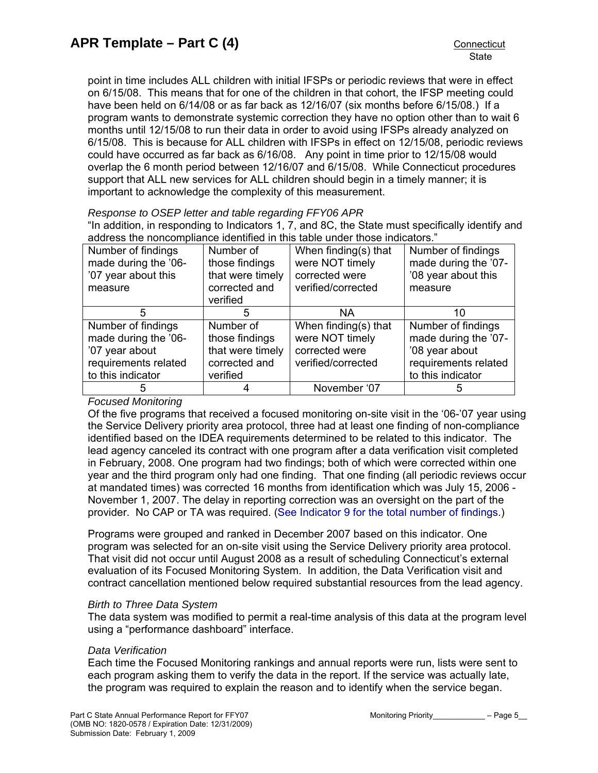point in time includes ALL children with initial IFSPs or periodic reviews that were in effect on 6/15/08. This means that for one of the children in that cohort, the IFSP meeting could have been held on 6/14/08 or as far back as 12/16/07 (six months before 6/15/08.) If a program wants to demonstrate systemic correction they have no option other than to wait 6 months until 12/15/08 to run their data in order to avoid using IFSPs already analyzed on 6/15/08. This is because for ALL children with IFSPs in effect on 12/15/08, periodic reviews could have occurred as far back as 6/16/08. Any point in time prior to 12/15/08 would overlap the 6 month period between 12/16/07 and 6/15/08. While Connecticut procedures support that ALL new services for ALL children should begin in a timely manner; it is important to acknowledge the complexity of this measurement.

*Response to OSEP letter and table regarding FFY06 APR* 

"In addition, in responding to Indicators 1, 7, and 8C, the State must specifically identify and address the noncompliance identified in this table under those indicators."

| Number of findings<br>made during the '06-<br>'07 year about this<br>measure                              | Number of<br>those findings<br>that were timely<br>corrected and<br>verified | When finding(s) that<br>were NOT timely<br>corrected were<br>verified/corrected | Number of findings<br>made during the '07-<br>'08 year about this<br>measure                              |
|-----------------------------------------------------------------------------------------------------------|------------------------------------------------------------------------------|---------------------------------------------------------------------------------|-----------------------------------------------------------------------------------------------------------|
| 5                                                                                                         | 5                                                                            | NA                                                                              | 10                                                                                                        |
| Number of findings<br>made during the '06-<br>'07 year about<br>requirements related<br>to this indicator | Number of<br>those findings<br>that were timely<br>corrected and<br>verified | When finding(s) that<br>were NOT timely<br>corrected were<br>verified/corrected | Number of findings<br>made during the '07-<br>'08 year about<br>requirements related<br>to this indicator |
|                                                                                                           |                                                                              | November '07                                                                    | 5                                                                                                         |

*Focused Monitoring* 

Of the five programs that received a focused monitoring on-site visit in the '06-'07 year using the Service Delivery priority area protocol, three had at least one finding of non-compliance identified based on the IDEA requirements determined to be related to this indicator. The lead agency canceled its contract with one program after a data verification visit completed in February, 2008. One program had two findings; both of which were corrected within one year and the third program only had one finding. That one finding (all periodic reviews occur at mandated times) was corrected 16 months from identification which was July 15, 2006 - November 1, 2007. The delay in reporting correction was an oversight on the part of the provider. No CAP or TA was required. [\(See Indicator 9 for the total number of findings.](#page-32-0))

Programs were grouped and ranked in December 2007 based on this indicator. One program was selected for an on-site visit using the Service Delivery priority area protocol. That visit did not occur until August 2008 as a result of scheduling Connecticut's external evaluation of its Focused Monitoring System. In addition, the Data Verification visit and contract cancellation mentioned below required substantial resources from the lead agency.

## *Birth to Three Data System*

The data system was modified to permit a real-time analysis of this data at the program level using a "performance dashboard" interface.

## *Data Verification*

Each time the Focused Monitoring rankings and annual reports were run, lists were sent to each program asking them to verify the data in the report. If the service was actually late, the program was required to explain the reason and to identify when the service began.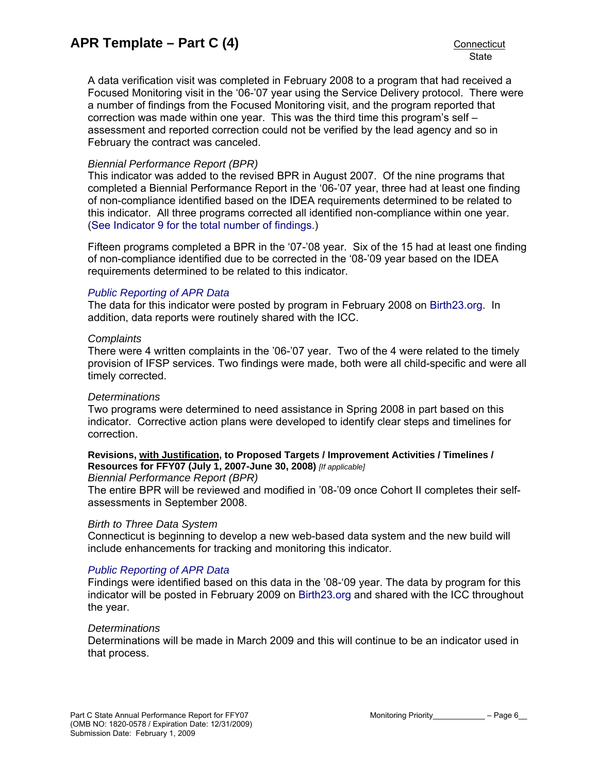A data verification visit was completed in February 2008 to a program that had received a Focused Monitoring visit in the '06-'07 year using the Service Delivery protocol. There were a number of findings from the Focused Monitoring visit, and the program reported that correction was made within one year. This was the third time this program's self – assessment and reported correction could not be verified by the lead agency and so in February the contract was canceled.

## *Biennial Performance Report (BPR)*

This indicator was added to the revised BPR in August 2007. Of the nine programs that completed a Biennial Performance Report in the '06-'07 year, three had at least one finding of non-compliance identified based on the IDEA requirements determined to be related to this indicator. All three programs corrected all identified non-compliance within one year. ([See Indicator 9 for the total number of findings.](#page-32-0))

Fifteen programs completed a BPR in the '07-'08 year. Six of the 15 had at least one finding of non-compliance identified due to be corrected in the '08-'09 year based on the IDEA requirements determined to be related to this indicator.

## *[Public Reporting of APR Data](http://www.birth23.org/state_performance_plans_and_annu.htm)*

The data for this indicator were posted by program in February 2008 on [Birth23.org](http://www.birth23.org/). In addition, data reports were routinely shared with the ICC.

## *Complaints*

There were 4 written complaints in the '06-'07 year. Two of the 4 were related to the timely provision of IFSP services. Two findings were made, both were all child-specific and were all timely corrected.

## *Determinations*

Two programs were determined to need assistance in Spring 2008 in part based on this indicator. Corrective action plans were developed to identify clear steps and timelines for correction.

## **Revisions, with Justification, to Proposed Targets / Improvement Activities / Timelines / Resources for FFY07 (July 1, 2007-June 30, 2008)** *[If applicable]*

#### *Biennial Performance Report (BPR)*

The entire BPR will be reviewed and modified in '08-'09 once Cohort II completes their selfassessments in September 2008.

## *Birth to Three Data System*

Connecticut is beginning to develop a new web-based data system and the new build will include enhancements for tracking and monitoring this indicator.

## *[Public Reporting of APR Data](http://www.birth23.org/state_performance_plans_and_annu.htm)*

Findings were identified based on this data in the '08-'09 year. The data by program for this indicator will be posted in February 2009 on [Birth23.org](http://www.birth23.org/) and shared with the ICC throughout the year.

## *Determinations*

Determinations will be made in March 2009 and this will continue to be an indicator used in that process.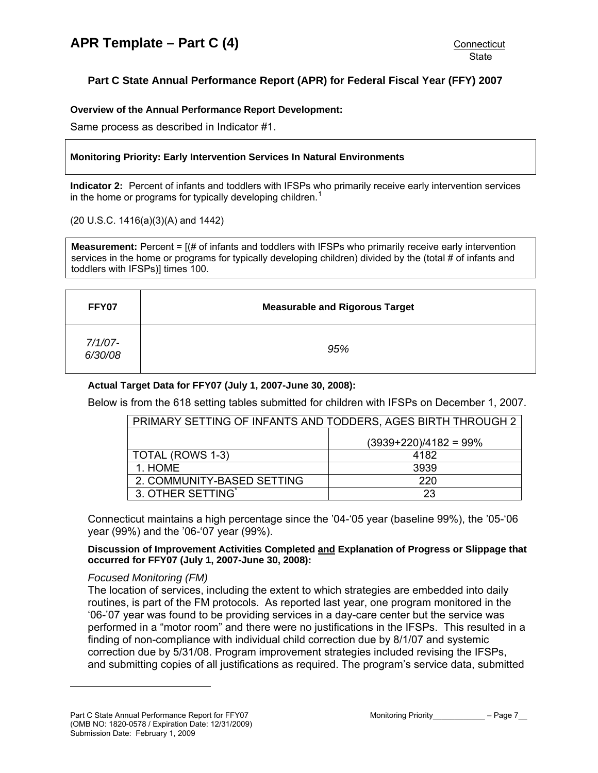# <span id="page-6-0"></span>**Part C State Annual Performance Report (APR) for Federal Fiscal Year (FFY) 2007**

## **Overview of the Annual Performance Report Development:**

Same process as described in Indicator #1.

## **Monitoring Priority: Early Intervention Services In Natural Environments**

**Indicator 2:** Percent of infants and toddlers with IFSPs who primarily receive early intervention services in the home or programs for typically developing children.<sup>[1](#page-6-1)</sup>

(20 U.S.C. 1416(a)(3)(A) and 1442)

**Measurement:** Percent = [(# of infants and toddlers with IFSPs who primarily receive early intervention services in the home or programs for typically developing children) divided by the (total # of infants and toddlers with IFSPs)] times 100.

| FFY07              | <b>Measurable and Rigorous Target</b> |
|--------------------|---------------------------------------|
| 7/1/07-<br>6/30/08 | 95%                                   |

## **Actual Target Data for FFY07 (July 1, 2007-June 30, 2008):**

Below is from the 618 setting tables submitted for children with IFSPs on December 1, 2007.

| PRIMARY SETTING OF INFANTS AND TODDERS, AGES BIRTH THROUGH 2 |                         |  |
|--------------------------------------------------------------|-------------------------|--|
|                                                              | $(3939+220)/4182 = 99%$ |  |
| TOTAL (ROWS 1-3)                                             | 4182                    |  |
| 1. HOME                                                      | 3939                    |  |
| 2. COMMUNITY-BASED SETTING<br>220                            |                         |  |
| 3. OTHER SETTING                                             | 23                      |  |

Connecticut maintains a high percentage since the '04-'05 year (baseline 99%), the '05-'06 year (99%) and the '06-'07 year (99%).

**Discussion of Improvement Activities Completed and Explanation of Progress or Slippage that occurred for FFY07 (July 1, 2007-June 30, 2008):** 

## *Focused Monitoring (FM)*

<span id="page-6-1"></span>-

The location of services, including the extent to which strategies are embedded into daily routines, is part of the FM protocols. As reported last year, one program monitored in the '06-'07 year was found to be providing services in a day-care center but the service was performed in a "motor room" and there were no justifications in the IFSPs. This resulted in a finding of non-compliance with individual child correction due by 8/1/07 and systemic correction due by 5/31/08. Program improvement strategies included revising the IFSPs, and submitting copies of all justifications as required. The program's service data, submitted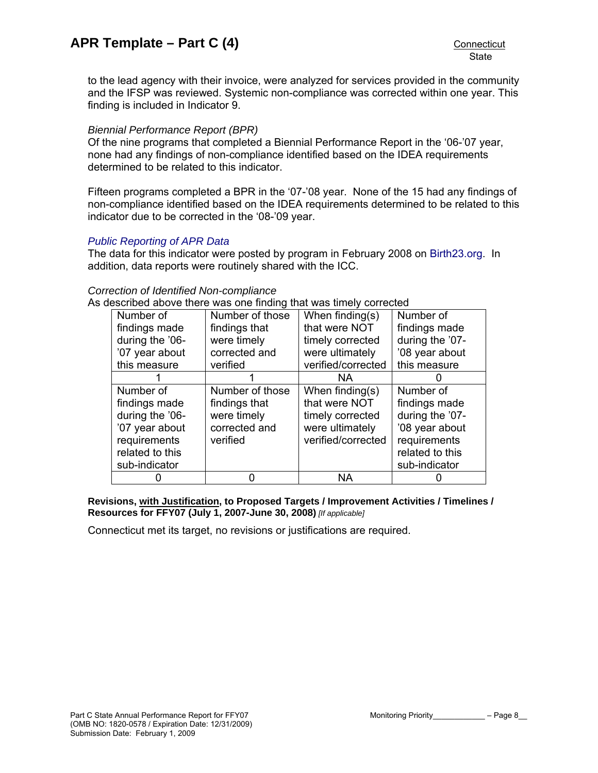**State** 

to the lead agency with their invoice, were analyzed for services provided in the community and the IFSP was reviewed. Systemic non-compliance was corrected within one year. This finding is included in Indicator 9.

### *Biennial Performance Report (BPR)*

Of the nine programs that completed a Biennial Performance Report in the '06-'07 year, none had any findings of non-compliance identified based on the IDEA requirements determined to be related to this indicator.

Fifteen programs completed a BPR in the '07-'08 year. None of the 15 had any findings of non-compliance identified based on the IDEA requirements determined to be related to this indicator due to be corrected in the '08-'09 year.

#### *[Public Reporting of APR Data](http://www.birth23.org/state_performance_plans_and_annu.htm)*

The data for this indicator were posted by program in February 2008 on [Birth23.org](http://www.birth23.org/). In addition, data reports were routinely shared with the ICC.

### *Correction of Identified Non-compliance*

As described above there was one finding that was timely corrected

| Number of       | Number of those | When finding(s)    | Number of       |
|-----------------|-----------------|--------------------|-----------------|
| findings made   | findings that   | that were NOT      | findings made   |
| during the '06- | were timely     | timely corrected   | during the '07- |
| '07 year about  | corrected and   | were ultimately    | '08 year about  |
| this measure    | verified        | verified/corrected | this measure    |
|                 |                 | NA.                |                 |
| Number of       | Number of those | When finding(s)    | Number of       |
| findings made   | findings that   | that were NOT      | findings made   |
| during the '06- | were timely     | timely corrected   | during the '07- |
| '07 year about  | corrected and   | were ultimately    | '08 year about  |
| requirements    | verified        | verified/corrected | requirements    |
| related to this |                 |                    | related to this |
| sub-indicator   |                 |                    | sub-indicator   |
|                 |                 | <b>NA</b>          |                 |

**Revisions, with Justification, to Proposed Targets / Improvement Activities / Timelines / Resources for FFY07 (July 1, 2007-June 30, 2008)** *[If applicable]*

Connecticut met its target, no revisions or justifications are required.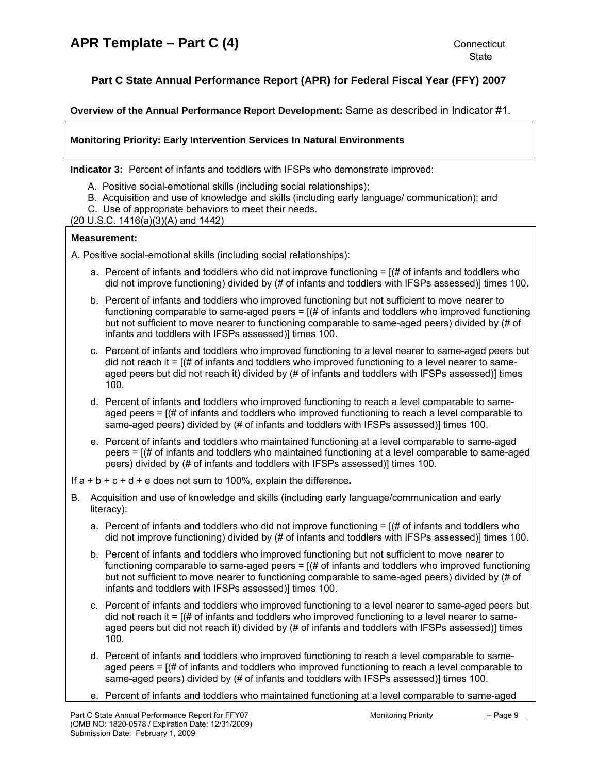# <span id="page-8-0"></span>**Part C State Annual Performance Report (APR) for Federal Fiscal Year (FFY) 2007**

**Overview of the Annual Performance Report Development:** Same as described in Indicator #1.

## **Monitoring Priority: Early Intervention Services In Natural Environments**

**Indicator 3:** Percent of infants and toddlers with IFSPs who demonstrate improved:

- A. Positive social-emotional skills (including social relationships);
- B. Acquisition and use of knowledge and skills (including early language/ communication); and
- C. Use of appropriate behaviors to meet their needs.
- (20 U.S.C. 1416(a)(3)(A) and 1442)

#### **Measurement:**

A. Positive social-emotional skills (including social relationships):

- a. Percent of infants and toddlers who did not improve functioning  $=$  [ $\#$  of infants and toddlers who did not improve functioning) divided by (# of infants and toddlers with IFSPs assessed)] times 100.
- b. Percent of infants and toddlers who improved functioning but not sufficient to move nearer to functioning comparable to same-aged peers  $=$   $[(# of in fants and to d.)]$  integrals who improved functioning but not sufficient to move nearer to functioning comparable to same-aged peers) divided by (# of infants and toddlers with IFSPs assessed)] times 100.
- c. Percent of infants and toddlers who improved functioning to a level nearer to same-aged peers but did not reach it  $=$   $[$   $\#$  of infants and toddlers who improved functioning to a level nearer to sameaged peers but did not reach it) divided by (# of infants and toddlers with IFSPs assessed)] times 100.
- d. Percent of infants and toddlers who improved functioning to reach a level comparable to sameaged peers = [(# of infants and toddlers who improved functioning to reach a level comparable to same-aged peers) divided by (# of infants and toddlers with IFSPs assessed)] times 100.
- e. Percent of infants and toddlers who maintained functioning at a level comparable to same-aged peers = [(# of infants and toddlers who maintained functioning at a level comparable to same-aged peers) divided by (# of infants and toddlers with IFSPs assessed)] times 100.

If a + b + c + d + e does not sum to 100%, explain the difference**.**

- B. Acquisition and use of knowledge and skills (including early language/communication and early literacy):
	- a. Percent of infants and toddlers who did not improve functioning  $=$  [ $\#$  of infants and toddlers who did not improve functioning) divided by (# of infants and toddlers with IFSPs assessed)] times 100.
	- b. Percent of infants and toddlers who improved functioning but not sufficient to move nearer to functioning comparable to same-aged peers  $=$   $[$   $\#$  of infants and toddlers who improved functioning but not sufficient to move nearer to functioning comparable to same-aged peers) divided by (# of infants and toddlers with IFSPs assessed)] times 100.
	- c. Percent of infants and toddlers who improved functioning to a level nearer to same-aged peers but did not reach it  $=$   $($   $\#$  of infants and toddlers who improved functioning to a level nearer to sameaged peers but did not reach it) divided by (# of infants and toddlers with IFSPs assessed)] times 100.
	- d. Percent of infants and toddlers who improved functioning to reach a level comparable to sameaged peers = [(# of infants and toddlers who improved functioning to reach a level comparable to same-aged peers) divided by (# of infants and toddlers with IFSPs assessed)] times 100.
	- e. Percent of infants and toddlers who maintained functioning at a level comparable to same-aged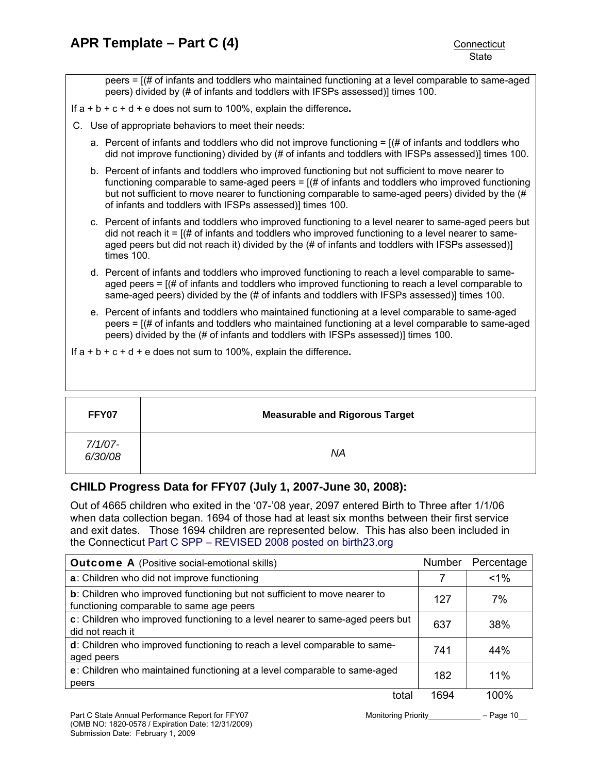peers = [(# of infants and toddlers who maintained functioning at a level comparable to same-aged peers) divided by (# of infants and toddlers with IFSPs assessed)] times 100.

- If a + b + c + d + e does not sum to 100%, explain the difference**.**
- C. Use of appropriate behaviors to meet their needs:
	- a. Percent of infants and toddlers who did not improve functioning  $=$  [ $\#$  of infants and toddlers who did not improve functioning) divided by (# of infants and toddlers with IFSPs assessed)] times 100.
	- b. Percent of infants and toddlers who improved functioning but not sufficient to move nearer to functioning comparable to same-aged peers  $=$   $[(# of in  $find \, and \,]$  for toddlers who improved functioning$ but not sufficient to move nearer to functioning comparable to same-aged peers) divided by the (# of infants and toddlers with IFSPs assessed)] times 100.
	- c. Percent of infants and toddlers who improved functioning to a level nearer to same-aged peers but did not reach it  $=$   $($   $\#$  of infants and toddlers who improved functioning to a level nearer to sameaged peers but did not reach it) divided by the (# of infants and toddlers with IFSPs assessed)] times 100.
	- d. Percent of infants and toddlers who improved functioning to reach a level comparable to sameaged peers = [(# of infants and toddlers who improved functioning to reach a level comparable to same-aged peers) divided by the (# of infants and toddlers with IFSPs assessed)] times 100.
	- e. Percent of infants and toddlers who maintained functioning at a level comparable to same-aged peers = [(# of infants and toddlers who maintained functioning at a level comparable to same-aged peers) divided by the (# of infants and toddlers with IFSPs assessed)] times 100.
- If a + b + c + d + e does not sum to 100%, explain the difference**.**

| FFY07                 | <b>Measurable and Rigorous Target</b> |
|-----------------------|---------------------------------------|
| $7/1/07 -$<br>6/30/08 | ΝA                                    |

## **CHILD Progress Data for FFY07 (July 1, 2007-June 30, 2008):**

Out of 4665 children who exited in the '07-'08 year, 2097 entered Birth to Three after 1/1/06 when data collection began. 1694 of those had at least six months between their first service and exit dates. Those 1694 children are represented below. This has also been included in the Connecticut [Part C SPP – REVISED 2008 posted on birth23.org](http://www.birth23.org/state_performance_plans_and_annu.htm)

| <b>Outcome A</b> (Positive social-emotional skills)                                                                           |      | Percentage |
|-------------------------------------------------------------------------------------------------------------------------------|------|------------|
| a: Children who did not improve functioning                                                                                   |      | $1\%$      |
| <b>b</b> : Children who improved functioning but not sufficient to move nearer to<br>functioning comparable to same age peers | 127  | 7%         |
| c: Children who improved functioning to a level nearer to same-aged peers but<br>did not reach it                             | 637  | 38%        |
| d: Children who improved functioning to reach a level comparable to same-<br>aged peers                                       | 741  | 44%        |
| e: Children who maintained functioning at a level comparable to same-aged<br>peers                                            | 182  | 11%        |
| total                                                                                                                         | 1694 | 100%       |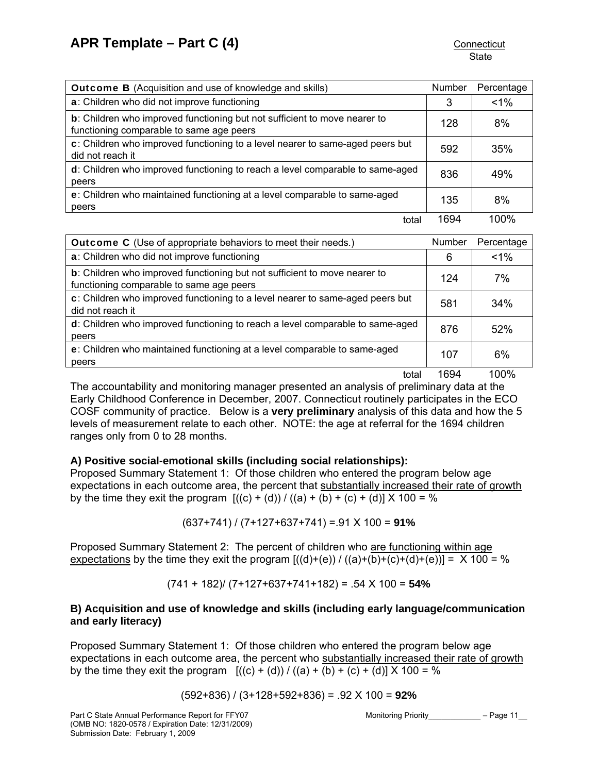| <b>Outcome B</b> (Acquisition and use of knowledge and skills)                                                                | <b>Number</b> | Percentage |
|-------------------------------------------------------------------------------------------------------------------------------|---------------|------------|
| a: Children who did not improve functioning                                                                                   | 3             | $1\%$      |
| <b>b</b> : Children who improved functioning but not sufficient to move nearer to<br>functioning comparable to same age peers | 128           | 8%         |
| c: Children who improved functioning to a level nearer to same-aged peers but<br>did not reach it                             | 592           | 35%        |
| d: Children who improved functioning to reach a level comparable to same-aged<br>peers                                        | 836           | 49%        |
| e: Children who maintained functioning at a level comparable to same-aged<br>peers                                            | 135           | 8%         |
| total                                                                                                                         | 1694          | 100%       |

| <b>Outcome C</b> (Use of appropriate behaviors to meet their needs.)                                                  |     | Percentage |
|-----------------------------------------------------------------------------------------------------------------------|-----|------------|
| a: Children who did not improve functioning                                                                           | 6   | $1\%$      |
| b: Children who improved functioning but not sufficient to move nearer to<br>functioning comparable to same age peers | 124 | 7%         |
| c: Children who improved functioning to a level nearer to same-aged peers but<br>did not reach it                     | 581 | 34%        |
| d: Children who improved functioning to reach a level comparable to same-aged<br>peers                                | 876 | 52%        |
| e: Children who maintained functioning at a level comparable to same-aged<br>peers                                    | 107 | 6%         |

total 1694 100%

The accountability and monitoring manager presented an analysis of preliminary data at the Early Childhood Conference in December, 2007. Connecticut routinely participates in the ECO COSF community of practice. Below is a **very preliminary** analysis of this data and how the 5 levels of measurement relate to each other. NOTE: the age at referral for the 1694 children ranges only from 0 to 28 months.

## **A) Positive social-emotional skills (including social relationships):**

Proposed Summary Statement 1: Of those children who entered the program below age expectations in each outcome area, the percent that substantially increased their rate of growth by the time they exit the program  $[(c) + (d)) / ((a) + (b) + (c) + (d)) \times 100 = %$ 

(637+741) / (7+127+637+741) =.91 X 100 = **91%** 

Proposed Summary Statement 2: The percent of children who are functioning within age expectations by the time they exit the program  $[(d)+(e))/((a)+(b)+(c)+(d)+(e))] = X 100 = %$ 

(741 + 182)/ (7+127+637+741+182) = .54 X 100 = **54%**

## **B) Acquisition and use of knowledge and skills (including early language/communication and early literacy)**

Proposed Summary Statement 1: Of those children who entered the program below age expectations in each outcome area, the percent who substantially increased their rate of growth by the time they exit the program  $[(c) + (d)) / ((a) + (b) + (c) + (d)] \times 100 = %$ 

(592+836) / (3+128+592+836) = .92 X 100 = **92%**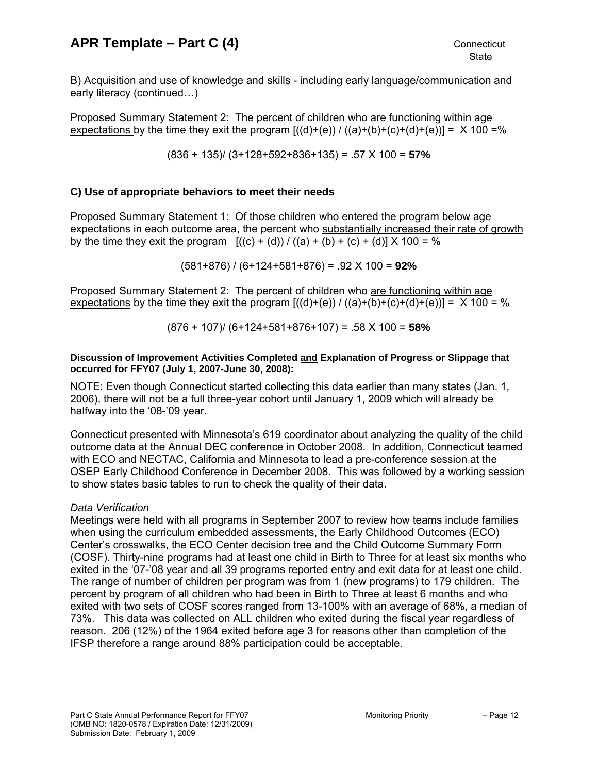B) Acquisition and use of knowledge and skills - including early language/communication and early literacy (continued…)

Proposed Summary Statement 2: The percent of children who are functioning within age expectations by the time they exit the program  $[(d)+(e)) / ((a)+(b)+(c)+(d)+(e))] = X 100 = %$ 

(836 + 135)/ (3+128+592+836+135) = .57 X 100 = **57%**

## **C) Use of appropriate behaviors to meet their needs**

Proposed Summary Statement 1: Of those children who entered the program below age expectations in each outcome area, the percent who substantially increased their rate of growth by the time they exit the program  $[(c) + (d)) / ((a) + (b) + (c) + (d)] \times 100 = %$ 

(581+876) / (6+124+581+876) = .92 X 100 = **92%**

Proposed Summary Statement 2: The percent of children who are functioning within age expectations by the time they exit the program  $[(d)+(e)) / [(a)+(b)+(c)+(d)+(e))] = X 100 = %$ 

(876 + 107)/ (6+124+581+876+107) = .58 X 100 = **58%**

### **Discussion of Improvement Activities Completed and Explanation of Progress or Slippage that occurred for FFY07 (July 1, 2007-June 30, 2008):**

NOTE: Even though Connecticut started collecting this data earlier than many states (Jan. 1, 2006), there will not be a full three-year cohort until January 1, 2009 which will already be halfway into the '08-'09 year.

Connecticut presented with Minnesota's 619 coordinator about analyzing the quality of the child outcome data at the Annual DEC conference in October 2008. In addition, Connecticut teamed with ECO and NECTAC, California and Minnesota to lead a pre-conference session at the OSEP Early Childhood Conference in December 2008. This was followed by a working session to show states basic tables to run to check the quality of their data.

## *Data Verification*

Meetings were held with all programs in September 2007 to review how teams include families when using the curriculum embedded assessments, the Early Childhood Outcomes (ECO) Center's crosswalks, the ECO Center decision tree and the Child Outcome Summary Form (COSF). Thirty-nine programs had at least one child in Birth to Three for at least six months who exited in the '07-'08 year and all 39 programs reported entry and exit data for at least one child. The range of number of children per program was from 1 (new programs) to 179 children. The percent by program of all children who had been in Birth to Three at least 6 months and who exited with two sets of COSF scores ranged from 13-100% with an average of 68%, a median of 73%. This data was collected on ALL children who exited during the fiscal year regardless of reason. 206 (12%) of the 1964 exited before age 3 for reasons other than completion of the IFSP therefore a range around 88% participation could be acceptable.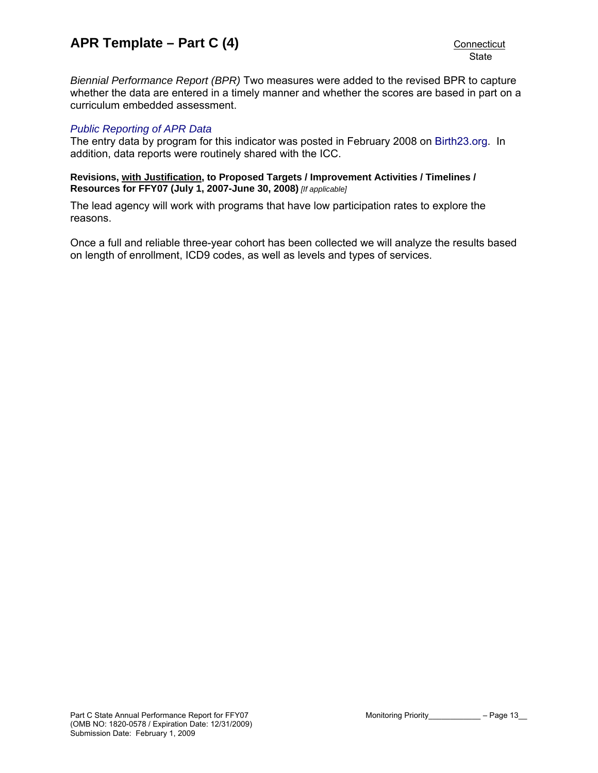*Biennial Performance Report (BPR)* Two measures were added to the revised BPR to capture whether the data are entered in a timely manner and whether the scores are based in part on a curriculum embedded assessment.

## *[Public Reporting of APR Data](http://www.birth23.org/state_performance_plans_and_annu.htm)*

The entry data by program for this indicator was posted in February 2008 on [Birth23.org](http://www.birth23.org/). In addition, data reports were routinely shared with the ICC.

#### **Revisions, with Justification, to Proposed Targets / Improvement Activities / Timelines / Resources for FFY07 (July 1, 2007-June 30, 2008)** *[If applicable]*

The lead agency will work with programs that have low participation rates to explore the reasons.

Once a full and reliable three-year cohort has been collected we will analyze the results based on length of enrollment, ICD9 codes, as well as levels and types of services.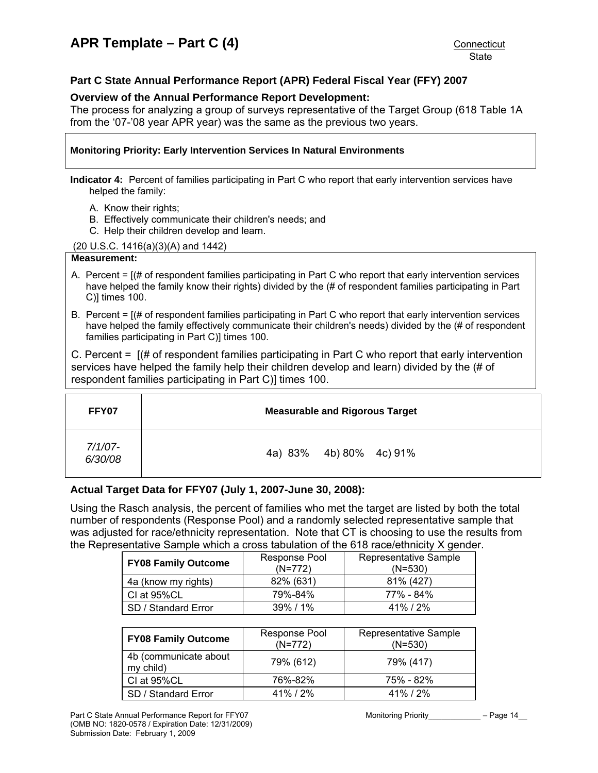## <span id="page-13-0"></span>**Part C State Annual Performance Report (APR) Federal Fiscal Year (FFY) 2007**

### **Overview of the Annual Performance Report Development:**

The process for analyzing a group of surveys representative of the Target Group (618 Table 1A from the '07-'08 year APR year) was the same as the previous two years.

## **Monitoring Priority: Early Intervention Services In Natural Environments**

**Indicator 4:** Percent of families participating in Part C who report that early intervention services have helped the family:

- A. Know their rights;
- B. Effectively communicate their children's needs; and
- C. Help their children develop and learn.

#### (20 U.S.C. 1416(a)(3)(A) and 1442)

#### **Measurement:**

- A. Percent = [(# of respondent families participating in Part C who report that early intervention services have helped the family know their rights) divided by the (# of respondent families participating in Part C)] times 100.
- B. Percent = [(# of respondent families participating in Part C who report that early intervention services have helped the family effectively communicate their children's needs) divided by the (# of respondent families participating in Part C)] times 100.

C. Percent = [(# of respondent families participating in Part C who report that early intervention services have helped the family help their children develop and learn) divided by the (# of respondent families participating in Part C)] times 100.

| FFY07                 | <b>Measurable and Rigorous Target</b> |  |
|-----------------------|---------------------------------------|--|
| $7/1/07 -$<br>6/30/08 | 4a) 83% 4b) 80% 4c) 91%               |  |

## **Actual Target Data for FFY07 (July 1, 2007-June 30, 2008):**

Using the Rasch analysis, the percent of families who met the target are listed by both the total number of respondents (Response Pool) and a randomly selected representative sample that was adjusted for race/ethnicity representation. Note that CT is choosing to use the results from the Representative Sample which a cross tabulation of the 618 race/ethnicity X gender.

| <b>FY08 Family Outcome</b> | Response Pool<br>$(N=772)$ | Representative Sample<br>$(N=530)$ |
|----------------------------|----------------------------|------------------------------------|
| 4a (know my rights)        | 82% (631)                  | 81% (427)                          |
| CI at 95%CL                | 79%-84%                    | 77% - 84%                          |
| SD / Standard Error        | $39\%$ / 1%                | $41\%$ / $2\%$                     |

| <b>FY08 Family Outcome</b>         | Response Pool<br>$(N=772)$ | Representative Sample<br>$(N=530)$ |
|------------------------------------|----------------------------|------------------------------------|
| 4b (communicate about<br>my child) | 79% (612)                  | 79% (417)                          |
| CI at 95%CL                        | 76%-82%                    | 75% - 82%                          |
| SD / Standard Error                | $41\%$ / $2\%$             | $41\%$ / $2\%$                     |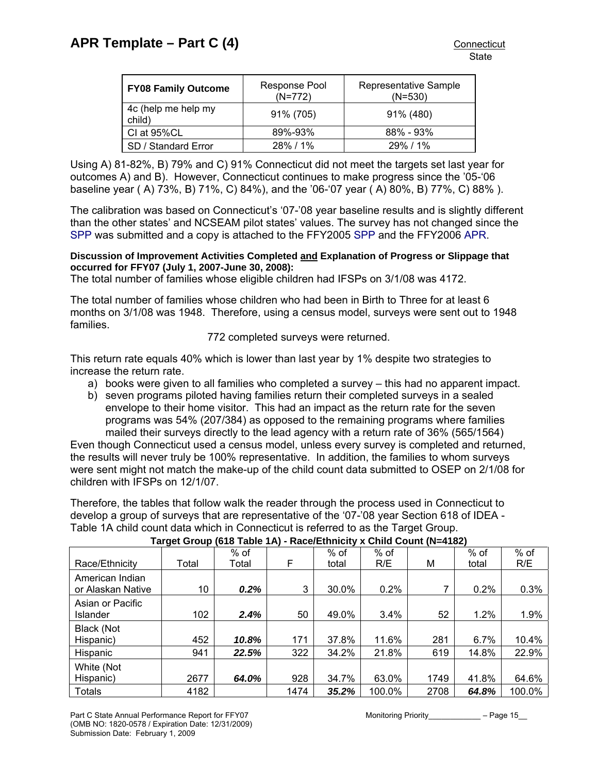| <b>FY08 Family Outcome</b>    | Response Pool<br>$(N=772)$ | Representative Sample<br>$(N=530)$ |
|-------------------------------|----------------------------|------------------------------------|
| 4c (help me help my<br>child) | 91% (705)                  | 91% (480)                          |
| CI at 95%CL                   | 89%-93%                    | $88\% - 93\%$                      |
| SD / Standard Error           | 28% / 1%                   | $29\%$ / 1%                        |

Using A) 81-82%, B) 79% and C) 91% Connecticut did not meet the targets set last year for outcomes A) and B). However, Connecticut continues to make progress since the '05-'06 baseline year ( A) 73%, B) 71%, C) 84%), and the '06-'07 year ( A) 80%, B) 77%, C) 88% ).

The calibration was based on Connecticut's '07-'08 year baseline results and is slightly different than the other states' and NCSEAM pilot states' values. The survey has not changed since the [SPP](http://www.birth23.org/state_performance_plans_and_annu.htm) was submitted and a copy is attached to the FFY2005 [SPP](http://www.birth23.org/state_performance_plans_and_annu.htm) and the FFY2006 [APR](http://www.birth23.org/state_performance_plans_and_annu.htm).

## **Discussion of Improvement Activities Completed and Explanation of Progress or Slippage that occurred for FFY07 (July 1, 2007-June 30, 2008):**

The total number of families whose eligible children had IFSPs on 3/1/08 was 4172.

The total number of families whose children who had been in Birth to Three for at least 6 months on 3/1/08 was 1948. Therefore, using a census model, surveys were sent out to 1948 families.

## 772 completed surveys were returned.

This return rate equals 40% which is lower than last year by 1% despite two strategies to increase the return rate.

- a) books were given to all families who completed a survey this had no apparent impact.
- b) seven programs piloted having families return their completed surveys in a sealed envelope to their home visitor. This had an impact as the return rate for the seven programs was 54% (207/384) as opposed to the remaining programs where families mailed their surveys directly to the lead agency with a return rate of 36% (565/1564)

Even though Connecticut used a census model, unless every survey is completed and returned, the results will never truly be 100% representative. In addition, the families to whom surveys were sent might not match the make-up of the child count data submitted to OSEP on 2/1/08 for children with IFSPs on 12/1/07.

Therefore, the tables that follow walk the reader through the process used in Connecticut to develop a group of surveys that are representative of the '07-'08 year Section 618 of IDEA - Table 1A child count data which in Connecticut is referred to as the Target Group.

|                   |       | $%$ of  |      | $%$ of | $%$ of |      | % of  | $%$ of |
|-------------------|-------|---------|------|--------|--------|------|-------|--------|
| Race/Ethnicity    | Total | Total   | F    | total  | R/E    | М    | total | R/E    |
| American Indian   |       |         |      |        |        |      |       |        |
| or Alaskan Native | 10    | $0.2\%$ | 3    | 30.0%  | 0.2%   |      | 0.2%  | 0.3%   |
| Asian or Pacific  |       |         |      |        |        |      |       |        |
| Islander          | 102   | 2.4%    | 50   | 49.0%  | 3.4%   | 52   | 1.2%  | 1.9%   |
| Black (Not        |       |         |      |        |        |      |       |        |
| Hispanic)         | 452   | 10.8%   | 171  | 37.8%  | 11.6%  | 281  | 6.7%  | 10.4%  |
| Hispanic          | 941   | 22.5%   | 322  | 34.2%  | 21.8%  | 619  | 14.8% | 22.9%  |
| White (Not        |       |         |      |        |        |      |       |        |
| Hispanic)         | 2677  | 64.0%   | 928  | 34.7%  | 63.0%  | 1749 | 41.8% | 64.6%  |
| <b>Totals</b>     | 4182  |         | 1474 | 35.2%  | 100.0% | 2708 | 64.8% | 100.0% |

## **Target Group (618 Table 1A) - Race/Ethnicity x Child Count (N=4182)**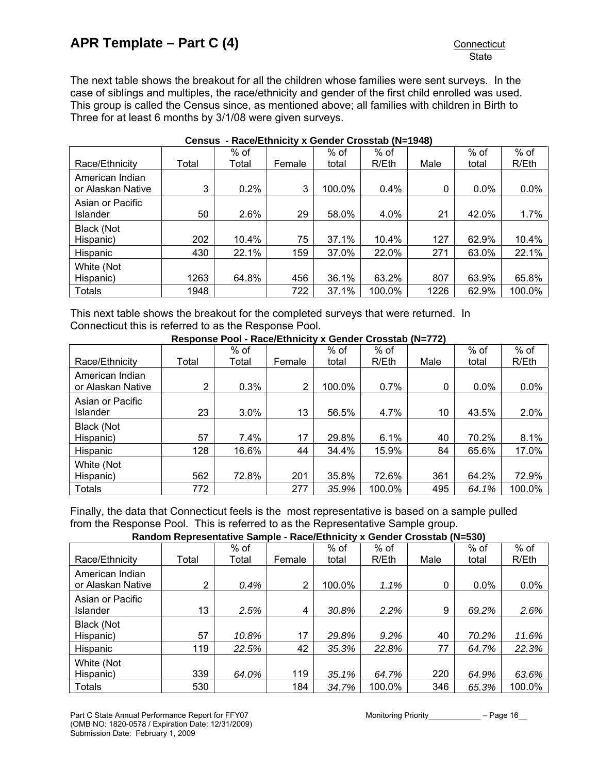The next table shows the breakout for all the children whose families were sent surveys. In the case of siblings and multiples, the race/ethnicity and gender of the first child enrolled was used. This group is called the Census since, as mentioned above; all families with children in Birth to Three for at least 6 months by 3/1/08 were given surveys.

|                                      |       | $%$ of |        | $%$ of | $%$ of |              | % of    | $%$ of |
|--------------------------------------|-------|--------|--------|--------|--------|--------------|---------|--------|
| Race/Ethnicity                       | Total | Total  | Female | total  | R/Eth  | Male         | total   | R/Eth  |
| American Indian<br>or Alaskan Native | 3     | 0.2%   | 3      | 100.0% | 0.4%   | $\mathbf{0}$ | $0.0\%$ | 0.0%   |
| Asian or Pacific<br><b>Islander</b>  | 50    | 2.6%   | 29     | 58.0%  | 4.0%   | 21           | 42.0%   | 1.7%   |
| Black (Not                           |       |        |        |        |        |              |         |        |
| Hispanic)                            | 202   | 10.4%  | 75     | 37.1%  | 10.4%  | 127          | 62.9%   | 10.4%  |
| Hispanic                             | 430   | 22.1%  | 159    | 37.0%  | 22.0%  | 271          | 63.0%   | 22.1%  |
| White (Not                           |       |        |        |        |        |              |         |        |
| Hispanic)                            | 1263  | 64.8%  | 456    | 36.1%  | 63.2%  | 807          | 63.9%   | 65.8%  |
| <b>Totals</b>                        | 1948  |        | 722    | 37.1%  | 100.0% | 1226         | 62.9%   | 100.0% |

#### **Census - Race/Ethnicity x Gender Crosstab (N=1948)**

This next table shows the breakout for the completed surveys that were returned. In Connecticut this is referred to as the Response Pool.

**Response Pool - Race/Ethnicity x Gender Crosstab (N=772)** 

|                                      |                | $%$ of |        | $%$ of | $%$ of |      | $%$ of  | $%$ of |
|--------------------------------------|----------------|--------|--------|--------|--------|------|---------|--------|
| Race/Ethnicity                       | Total          | Total  | Female | total  | R/Eth  | Male | total   | R/Eth  |
| American Indian<br>or Alaskan Native | $\overline{2}$ | 0.3%   | 2      | 100.0% | 0.7%   | 0    | $0.0\%$ | 0.0%   |
| Asian or Pacific<br><b>Islander</b>  | 23             | 3.0%   | 13     | 56.5%  | 4.7%   | 10   | 43.5%   | 2.0%   |
| Black (Not                           |                |        |        |        |        |      |         |        |
| Hispanic)                            | 57             | 7.4%   | 17     | 29.8%  | 6.1%   | 40   | 70.2%   | 8.1%   |
| Hispanic                             | 128            | 16.6%  | 44     | 34.4%  | 15.9%  | 84   | 65.6%   | 17.0%  |
| White (Not                           |                |        |        |        |        |      |         |        |
| Hispanic)                            | 562            | 72.8%  | 201    | 35.8%  | 72.6%  | 361  | 64.2%   | 72.9%  |
| <b>Totals</b>                        | 772            |        | 277    | 35.9%  | 100.0% | 495  | 64.1%   | 100.0% |

Finally, the data that Connecticut feels is the most representative is based on a sample pulled from the Response Pool. This is referred to as the Representative Sample group.

| Random Representative Sample - Race/Ethnicity x Gender Crosstab (N=530) |  |
|-------------------------------------------------------------------------|--|
|-------------------------------------------------------------------------|--|

|                                      | $1.499$ Europe A Songol Sloopigs (11-999) |        |        |        |        |      |       |        |
|--------------------------------------|-------------------------------------------|--------|--------|--------|--------|------|-------|--------|
|                                      |                                           | $%$ of |        | $%$ of | $%$ of |      | % of  | $%$ of |
| Race/Ethnicity                       | Total                                     | Total  | Female | total  | R/Eth  | Male | total | R/Eth  |
| American Indian<br>or Alaskan Native | 2                                         | 0.4%   | 2      | 100.0% | 1.1%   | 0    | 0.0%  | 0.0%   |
| Asian or Pacific<br>Islander         | 13                                        | 2.5%   | 4      | 30.8%  | 2.2%   | 9    | 69.2% | 2.6%   |
| Black (Not                           |                                           |        |        |        |        |      |       |        |
| Hispanic)                            | 57                                        | 10.8%  | 17     | 29.8%  | 9.2%   | 40   | 70.2% | 11.6%  |
| Hispanic                             | 119                                       | 22.5%  | 42     | 35.3%  | 22.8%  | 77   | 64.7% | 22.3%  |
| White (Not                           |                                           |        |        |        |        |      |       |        |
| Hispanic)                            | 339                                       | 64.0%  | 119    | 35.1%  | 64.7%  | 220  | 64.9% | 63.6%  |
| <b>Totals</b>                        | 530                                       |        | 184    | 34.7%  | 100.0% | 346  | 65.3% | 100.0% |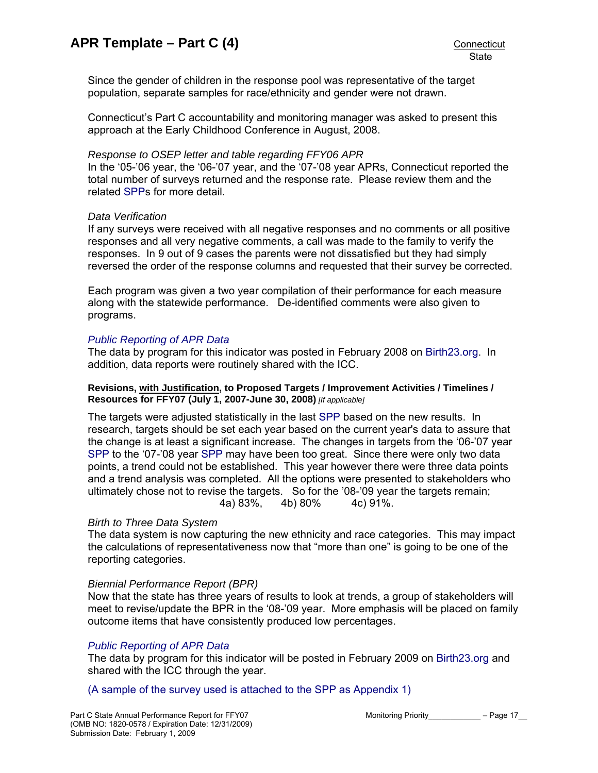Since the gender of children in the response pool was representative of the target population, separate samples for race/ethnicity and gender were not drawn.

Connecticut's Part C accountability and monitoring manager was asked to present this approach at the Early Childhood Conference in August, 2008.

### *Response to OSEP letter and table regarding FFY06 APR*

In the '05-'06 year, the '06-'07 year, and the '07-'08 year APRs, Connecticut reported the total number of surveys returned and the response rate. Please review them and the related [SPPs](http://www.birth23.org/state_performance_plans_and_annu.htm) for more detail.

#### *Data Verification*

If any surveys were received with all negative responses and no comments or all positive responses and all very negative comments, a call was made to the family to verify the responses. In 9 out of 9 cases the parents were not dissatisfied but they had simply reversed the order of the response columns and requested that their survey be corrected.

Each program was given a two year compilation of their performance for each measure along with the statewide performance. De-identified comments were also given to programs.

#### *[Public Reporting of APR Data](http://www.birth23.org/state_performance_plans_and_annu.htm)*

The data by program for this indicator was posted in February 2008 on [Birth23.org.](http://www.birth23.org/) In addition, data reports were routinely shared with the ICC.

#### **Revisions, with Justification, to Proposed Targets / Improvement Activities / Timelines / Resources for FFY07 (July 1, 2007-June 30, 2008)** *[If applicable]*

The targets were adjusted statistically in the last [SPP](http://www.birth23.org/state_performance_plans_and_annu.htm) based on the new results. In research, targets should be set each year based on the current year's data to assure that the change is at least a significant increase. The changes in targets from the '06-'07 year [SPP](http://www.birth23.org/state_performance_plans_and_annu.htm) to the '07-'08 year [SPP](http://www.birth23.org/state_performance_plans_and_annu.htm) may have been too great. Since there were only two data points, a trend could not be established. This year however there were three data points and a trend analysis was completed. All the options were presented to stakeholders who ultimately chose not to revise the targets. So for the '08-'09 year the targets remain; 4a) 83%, 4b) 80% 4c) 91%.

## *Birth to Three Data System*

The data system is now capturing the new ethnicity and race categories. This may impact the calculations of representativeness now that "more than one" is going to be one of the reporting categories.

#### *Biennial Performance Report (BPR)*

Now that the state has three years of results to look at trends, a group of stakeholders will meet to revise/update the BPR in the '08-'09 year. More emphasis will be placed on family outcome items that have consistently produced low percentages.

## *[Public Reporting of APR Data](http://www.birth23.org/state_performance_plans_and_annu.htm)*

The data by program for this indicator will be posted in February 2009 on [Birth23.org](http://www.birth23.org/) and shared with the ICC through the year.

[\(A sample of the survey used is attached to the SPP as Appendix 1\)](http://www.birth23.org/MonitoringData/CT Part C SPP 2008-REVISED.doc#app1)

Part C State Annual Performance Report for FFY07 Monitoring Priority Figure 2017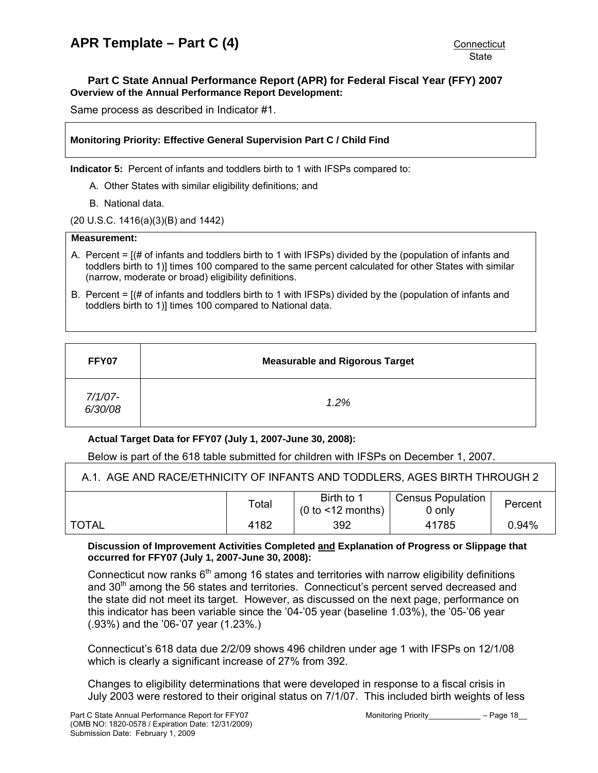## <span id="page-17-0"></span>**Part C State Annual Performance Report (APR) for Federal Fiscal Year (FFY) 2007 Overview of the Annual Performance Report Development:**

Same process as described in Indicator #1.

## **Monitoring Priority: Effective General Supervision Part C / Child Find**

**Indicator 5:** Percent of infants and toddlers birth to 1 with IFSPs compared to:

- A. Other States with similar eligibility definitions; and
- B. National data.

(20 U.S.C. 1416(a)(3)(B) and 1442)

## **Measurement:**

- A. Percent = [(# of infants and toddlers birth to 1 with IFSPs) divided by the (population of infants and toddlers birth to 1)] times 100 compared to the same percent calculated for other States with similar (narrow, moderate or broad) eligibility definitions.
- B. Percent = [(# of infants and toddlers birth to 1 with IFSPs) divided by the (population of infants and toddlers birth to 1)] times 100 compared to National data.

| FFY07              | <b>Measurable and Rigorous Target</b> |
|--------------------|---------------------------------------|
| 7/1/07-<br>6/30/08 | 1.2%                                  |

## **Actual Target Data for FFY07 (July 1, 2007-June 30, 2008):**

Below is part of the 618 table submitted for children with IFSPs on December 1, 2007.

| A.1. AGE AND RACE/ETHNICITY OF INFANTS AND TODDLERS, AGES BIRTH THROUGH 2 |       |                                    |                                    |          |  |  |
|---------------------------------------------------------------------------|-------|------------------------------------|------------------------------------|----------|--|--|
|                                                                           | Total | Birth to 1<br>$(0 to < 12$ months) | <b>Census Population</b><br>0 only | Percent  |  |  |
| ' TOTAL                                                                   | 4182  | 392                                | 41785                              | $0.94\%$ |  |  |

#### **Discussion of Improvement Activities Completed and Explanation of Progress or Slippage that occurred for FFY07 (July 1, 2007-June 30, 2008):**

Connecticut now ranks  $6<sup>th</sup>$  among 16 states and territories with narrow eligibility definitions and 30<sup>th</sup> among the 56 states and territories. Connecticut's percent served decreased and the state did not meet its target. However, as discussed on the next page, performance on this indicator has been variable since the '04-'05 year (baseline 1.03%), the '05-'06 year (.93%) and the '06-'07 year (1.23%.)

Connecticut's 618 data due 2/2/09 shows 496 children under age 1 with IFSPs on 12/1/08 which is clearly a significant increase of 27% from 392.

Changes to eligibility determinations that were developed in response to a fiscal crisis in July 2003 were restored to their original status on 7/1/07. This included birth weights of less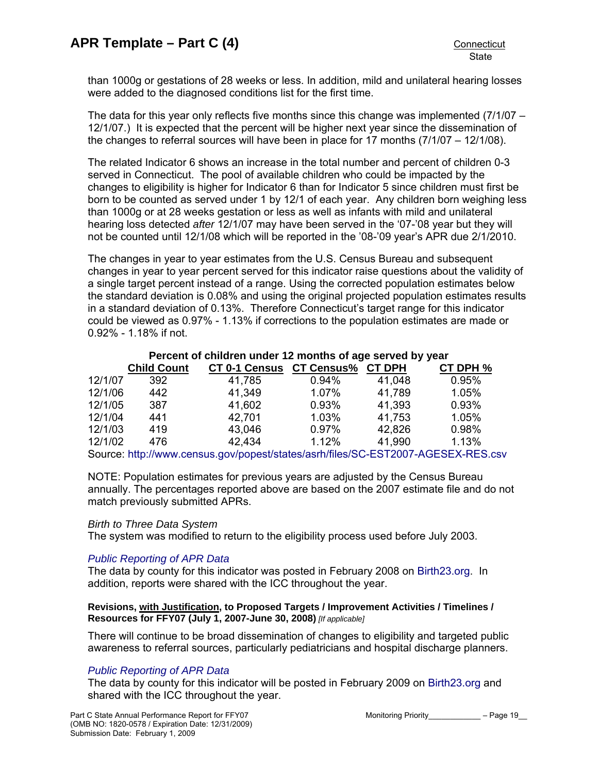than 1000g or gestations of 28 weeks or less. In addition, mild and unilateral hearing losses were added to the diagnosed conditions list for the first time.

The data for this year only reflects five months since this change was implemented (7/1/07 – 12/1/07.) It is expected that the percent will be higher next year since the dissemination of the changes to referral sources will have been in place for 17 months (7/1/07 – 12/1/08).

The related Indicator 6 shows an increase in the total number and percent of children 0-3 served in Connecticut. The pool of available children who could be impacted by the changes to eligibility is higher for Indicator 6 than for Indicator 5 since children must first be born to be counted as served under 1 by 12/1 of each year. Any children born weighing less than 1000g or at 28 weeks gestation or less as well as infants with mild and unilateral hearing loss detected *after* 12/1/07 may have been served in the '07-'08 year but they will not be counted until 12/1/08 which will be reported in the '08-'09 year's APR due 2/1/2010.

The changes in year to year estimates from the U.S. Census Bureau and subsequent changes in year to year percent served for this indicator raise questions about the validity of a single target percent instead of a range. Using the corrected population estimates below the standard deviation is 0.08% and using the original projected population estimates results in a standard deviation of 0.13%. Therefore Connecticut's target range for this indicator could be viewed as 0.97% - 1.13% if corrections to the population estimates are made or 0.92% - 1.18% if not.

## **Percent of children under 12 months of age served by year**

|         | <b>Child Count</b> | <b>CT 0-1 Census</b>                                                             | <b>CT Census%</b> | <b>CT DPH</b> | CT DPH % |
|---------|--------------------|----------------------------------------------------------------------------------|-------------------|---------------|----------|
| 12/1/07 | 392                | 41,785                                                                           | 0.94%             | 41,048        | 0.95%    |
| 12/1/06 | 442                | 41,349                                                                           | 1.07%             | 41,789        | 1.05%    |
| 12/1/05 | 387                | 41,602                                                                           | 0.93%             | 41,393        | 0.93%    |
| 12/1/04 | 441                | 42,701                                                                           | 1.03%             | 41,753        | 1.05%    |
| 12/1/03 | 419                | 43,046                                                                           | 0.97%             | 42,826        | 0.98%    |
| 12/1/02 | 476                | 42,434                                                                           | 1.12%             | 41.990        | 1.13%    |
|         |                    | Source: http://www.census.gov/popest/states/asrh/files/SC-EST2007-AGESEX-RES.csv |                   |               |          |

NOTE: Population estimates for previous years are adjusted by the Census Bureau annually. The percentages reported above are based on the 2007 estimate file and do not

## *Birth to Three Data System*

match previously submitted APRs.

The system was modified to return to the eligibility process used before July 2003.

## *[Public Reporting of APR Data](http://www.birth23.org/state_performance_plans_and_annu.htm)*

The data by county for this indicator was posted in February 2008 on [Birth23.org](http://www.birth23.org/). In addition, reports were shared with the ICC throughout the year.

#### **Revisions, with Justification, to Proposed Targets / Improvement Activities / Timelines / Resources for FFY07 (July 1, 2007-June 30, 2008)** *[If applicable]*

There will continue to be broad dissemination of changes to eligibility and targeted public awareness to referral sources, particularly pediatricians and hospital discharge planners.

## *[Public Reporting of APR Data](http://www.birth23.org/state_performance_plans_and_annu.htm)*

The data by county for this indicator will be posted in February 2009 on [Birth23.org](http://www.birth23.org/) and shared with the ICC throughout the year.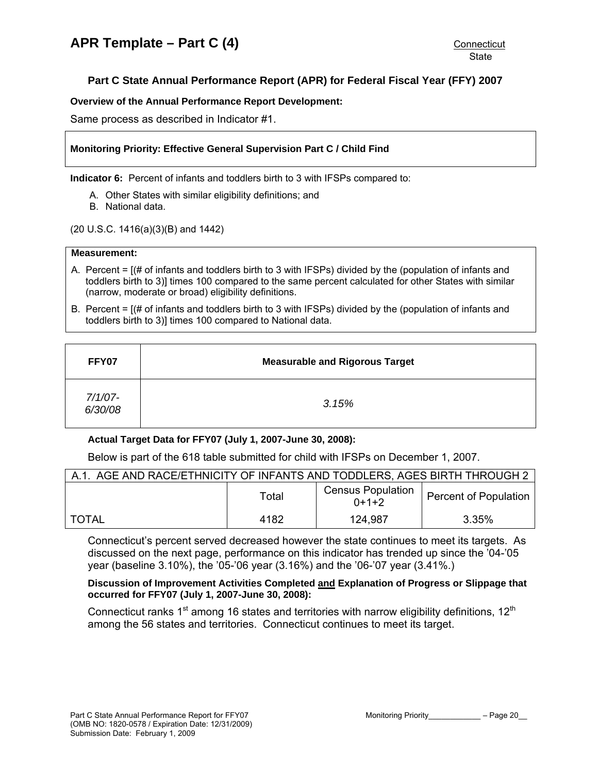## <span id="page-19-0"></span>**Part C State Annual Performance Report (APR) for Federal Fiscal Year (FFY) 2007**

### **Overview of the Annual Performance Report Development:**

Same process as described in Indicator #1.

## **Monitoring Priority: Effective General Supervision Part C / Child Find**

**Indicator 6:** Percent of infants and toddlers birth to 3 with IFSPs compared to:

- A. Other States with similar eligibility definitions; and
- B. National data.

(20 U.S.C. 1416(a)(3)(B) and 1442)

#### **Measurement:**

- A. Percent = [(# of infants and toddlers birth to 3 with IFSPs) divided by the (population of infants and toddlers birth to 3)] times 100 compared to the same percent calculated for other States with similar (narrow, moderate or broad) eligibility definitions.
- B. Percent = [(# of infants and toddlers birth to 3 with IFSPs) divided by the (population of infants and toddlers birth to 3)] times 100 compared to National data.

| FFY07              | <b>Measurable and Rigorous Target</b> |
|--------------------|---------------------------------------|
| 7/1/07-<br>6/30/08 | 3.15%                                 |

## **Actual Target Data for FFY07 (July 1, 2007-June 30, 2008):**

Below is part of the 618 table submitted for child with IFSPs on December 1, 2007.

| A.1. AGE AND RACE/ETHNICITY OF INFANTS AND TODDLERS, AGES BIRTH THROUGH 2 |       |                                     |                              |  |  |
|---------------------------------------------------------------------------|-------|-------------------------------------|------------------------------|--|--|
|                                                                           | Total | <b>Census Population</b><br>$0+1+2$ | <b>Percent of Population</b> |  |  |
| <b>TOTAL</b>                                                              | 4182  | 124,987                             | 3.35%                        |  |  |

Connecticut's percent served decreased however the state continues to meet its targets. As discussed on the next page, performance on this indicator has trended up since the '04-'05 year (baseline 3.10%), the '05-'06 year (3.16%) and the '06-'07 year (3.41%.)

#### **Discussion of Improvement Activities Completed and Explanation of Progress or Slippage that occurred for FFY07 (July 1, 2007-June 30, 2008):**

Connecticut ranks  $1<sup>st</sup>$  among 16 states and territories with narrow eligibility definitions,  $12<sup>th</sup>$ among the 56 states and territories. Connecticut continues to meet its target.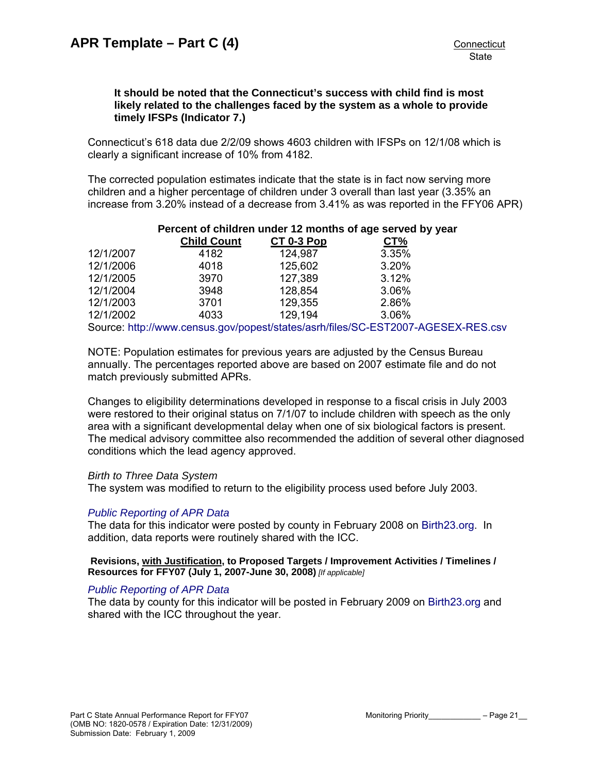## **It should be noted that the Connecticut's success with child find is most likely related to the challenges faced by the system as a whole to provide timely IFSPs (Indicator 7.)**

Connecticut's 618 data due 2/2/09 shows 4603 children with IFSPs on 12/1/08 which is clearly a significant increase of 10% from 4182.

The corrected population estimates indicate that the state is in fact now serving more children and a higher percentage of children under 3 overall than last year (3.35% an increase from 3.20% instead of a decrease from 3.41% as was reported in the FFY06 APR)

| Percent of children under 12 months of age served by year |                    |            |       |  |  |  |
|-----------------------------------------------------------|--------------------|------------|-------|--|--|--|
|                                                           | <b>Child Count</b> | CT 0-3 Pop | CT%   |  |  |  |
| 12/1/2007                                                 | 4182               | 124,987    | 3.35% |  |  |  |
| 12/1/2006                                                 | 4018               | 125,602    | 3.20% |  |  |  |
| 12/1/2005                                                 | 3970               | 127,389    | 3.12% |  |  |  |
| 12/1/2004                                                 | 3948               | 128,854    | 3.06% |  |  |  |
| 12/1/2003                                                 | 3701               | 129,355    | 2.86% |  |  |  |
| 12/1/2002                                                 | 4033               | 129,194    | 3.06% |  |  |  |
|                                                           |                    |            |       |  |  |  |

Source: <http://www.census.gov/popest/states/asrh/files/SC-EST2007-AGESEX-RES.csv>

NOTE: Population estimates for previous years are adjusted by the Census Bureau annually. The percentages reported above are based on 2007 estimate file and do not match previously submitted APRs.

Changes to eligibility determinations developed in response to a fiscal crisis in July 2003 were restored to their original status on 7/1/07 to include children with speech as the only area with a significant developmental delay when one of six biological factors is present. The medical advisory committee also recommended the addition of several other diagnosed conditions which the lead agency approved.

## *Birth to Three Data System*

The system was modified to return to the eligibility process used before July 2003.

## *[Public Reporting of APR Data](http://www.birth23.org/state_performance_plans_and_annu.htm)*

The data for this indicator were posted by county in February 2008 on [Birth23.org.](http://www.birth23.org/) In addition, data reports were routinely shared with the ICC.

 **Revisions, with Justification, to Proposed Targets / Improvement Activities / Timelines / Resources for FFY07 (July 1, 2007-June 30, 2008)** *[If applicable]*

## *[Public Reporting of APR Data](http://www.birth23.org/state_performance_plans_and_annu.htm)*

The data by county for this indicator will be posted in February 2009 on [Birth23.org](http://www.birth23.org/) and shared with the ICC throughout the year.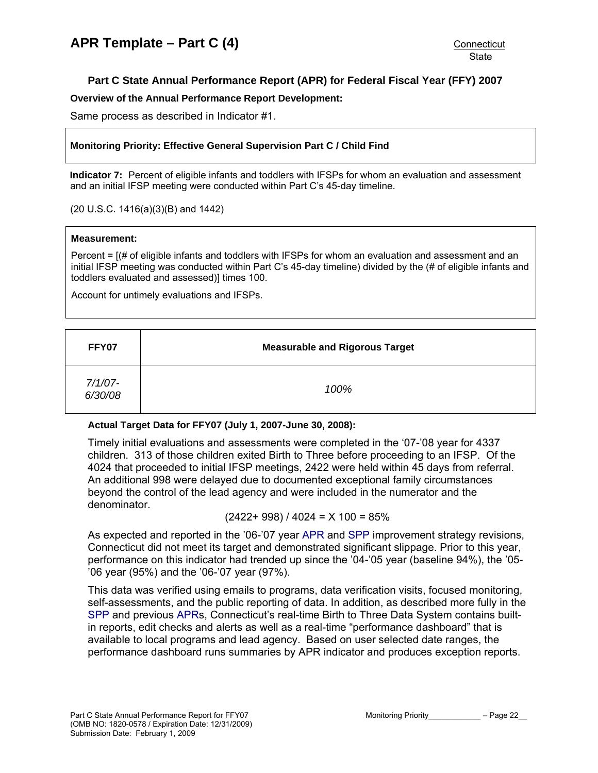## <span id="page-21-0"></span>**Part C State Annual Performance Report (APR) for Federal Fiscal Year (FFY) 2007**

#### **Overview of the Annual Performance Report Development:**

Same process as described in Indicator #1.

### **Monitoring Priority: Effective General Supervision Part C / Child Find**

**Indicator 7:** Percent of eligible infants and toddlers with IFSPs for whom an evaluation and assessment and an initial IFSP meeting were conducted within Part C's 45-day timeline.

(20 U.S.C. 1416(a)(3)(B) and 1442)

#### **Measurement:**

Percent = [(# of eligible infants and toddlers with IFSPs for whom an evaluation and assessment and an initial IFSP meeting was conducted within Part C's 45-day timeline) divided by the (# of eligible infants and toddlers evaluated and assessed)] times 100.

Account for untimely evaluations and IFSPs.

| FFY07              | <b>Measurable and Rigorous Target</b> |
|--------------------|---------------------------------------|
| 7/1/07-<br>6/30/08 | 100%                                  |

## **Actual Target Data for FFY07 (July 1, 2007-June 30, 2008):**

Timely initial evaluations and assessments were completed in the '07-'08 year for 4337 children. 313 of those children exited Birth to Three before proceeding to an IFSP. Of the 4024 that proceeded to initial IFSP meetings, 2422 were held within 45 days from referral. An additional 998 were delayed due to documented exceptional family circumstances beyond the control of the lead agency and were included in the numerator and the denominator.

$$
(2422 + 998) / 4024 = X 100 = 85%
$$

As expected and reported in the '06-'07 year [APR](http://www.birth23.org/state_performance_plans_and_annu.htm) and [SPP](http://www.birth23.org/state_performance_plans_and_annu.htm) improvement strategy revisions, Connecticut did not meet its target and demonstrated significant slippage. Prior to this year, performance on this indicator had trended up since the '04-'05 year (baseline 94%), the '05- '06 year (95%) and the '06-'07 year (97%).

This data was verified using emails to programs, data verification visits, focused monitoring, self-assessments, and the public reporting of data. In addition, as described more fully in the [SPP](http://www.birth23.org/state_performance_plans_and_annu.htm) and previous [APRs](http://www.birth23.org/state_performance_plans_and_annu.htm), Connecticut's real-time Birth to Three Data System contains builtin reports, edit checks and alerts as well as a real-time "performance dashboard" that is available to local programs and lead agency. Based on user selected date ranges, the performance dashboard runs summaries by APR indicator and produces exception reports.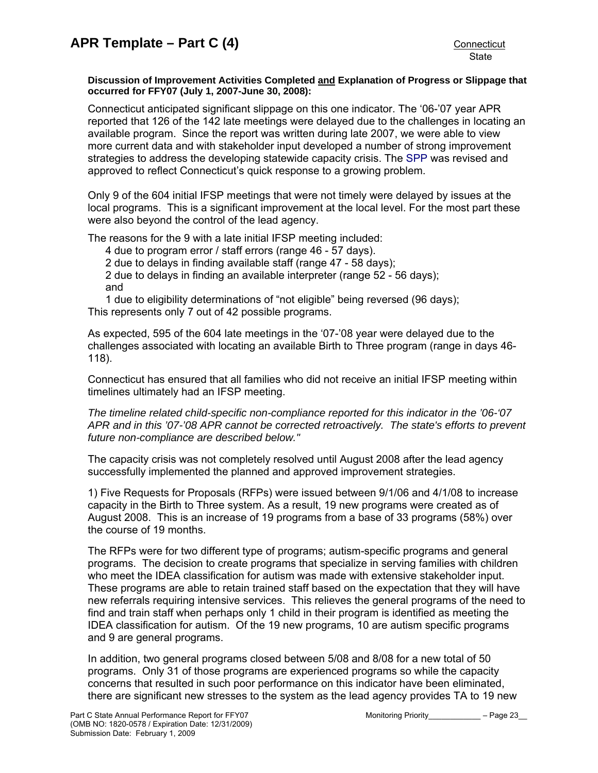#### **Discussion of Improvement Activities Completed and Explanation of Progress or Slippage that occurred for FFY07 (July 1, 2007-June 30, 2008):**

Connecticut anticipated significant slippage on this one indicator. The '06-'07 year APR reported that 126 of the 142 late meetings were delayed due to the challenges in locating an available program. Since the report was written during late 2007, we were able to view more current data and with stakeholder input developed a number of strong improvement strategies to address the developing statewide capacity crisis. The [SPP](http://www.birth23.org/state_performance_plans_and_annu.htm) was revised and approved to reflect Connecticut's quick response to a growing problem.

Only 9 of the 604 initial IFSP meetings that were not timely were delayed by issues at the local programs. This is a significant improvement at the local level. For the most part these were also beyond the control of the lead agency.

The reasons for the 9 with a late initial IFSP meeting included:

- 4 due to program error / staff errors (range 46 57 days).
- 2 due to delays in finding available staff (range 47 58 days);

2 due to delays in finding an available interpreter (range 52 - 56 days); and

1 due to eligibility determinations of "not eligible" being reversed (96 days); This represents only 7 out of 42 possible programs.

As expected, 595 of the 604 late meetings in the '07-'08 year were delayed due to the challenges associated with locating an available Birth to Three program (range in days 46- 118).

Connecticut has ensured that all families who did not receive an initial IFSP meeting within timelines ultimately had an IFSP meeting.

*The timeline related child-specific non-compliance reported for this indicator in the '06-'07 APR and in this '07-'08 APR cannot be corrected retroactively. The state's efforts to prevent future non-compliance are described below."* 

The capacity crisis was not completely resolved until August 2008 after the lead agency successfully implemented the planned and approved improvement strategies.

1) Five Requests for Proposals (RFPs) were issued between 9/1/06 and 4/1/08 to increase capacity in the Birth to Three system. As a result, 19 new programs were created as of August 2008. This is an increase of 19 programs from a base of 33 programs (58%) over the course of 19 months.

The RFPs were for two different type of programs; autism-specific programs and general programs. The decision to create programs that specialize in serving families with children who meet the IDEA classification for autism was made with extensive stakeholder input. These programs are able to retain trained staff based on the expectation that they will have new referrals requiring intensive services. This relieves the general programs of the need to find and train staff when perhaps only 1 child in their program is identified as meeting the IDEA classification for autism. Of the 19 new programs, 10 are autism specific programs and 9 are general programs.

In addition, two general programs closed between 5/08 and 8/08 for a new total of 50 programs. Only 31 of those programs are experienced programs so while the capacity concerns that resulted in such poor performance on this indicator have been eliminated, there are significant new stresses to the system as the lead agency provides TA to 19 new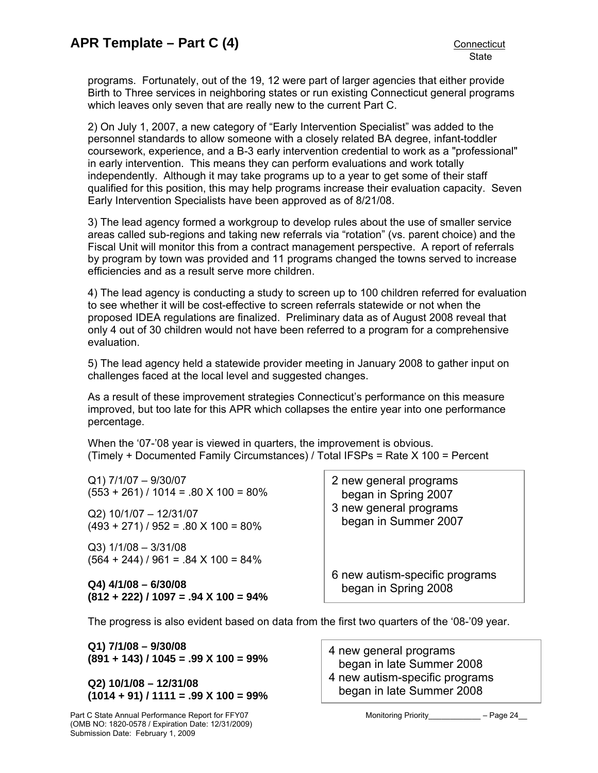programs. Fortunately, out of the 19, 12 were part of larger agencies that either provide Birth to Three services in neighboring states or run existing Connecticut general programs which leaves only seven that are really new to the current Part C.

2) On July 1, 2007, a new category of "Early Intervention Specialist" was added to the personnel standards to allow someone with a closely related BA degree, infant-toddler coursework, experience, and a B-3 early intervention credential to work as a "professional" in early intervention. This means they can perform evaluations and work totally independently. Although it may take programs up to a year to get some of their staff qualified for this position, this may help programs increase their evaluation capacity. Seven Early Intervention Specialists have been approved as of 8/21/08.

3) The lead agency formed a workgroup to develop rules about the use of smaller service areas called sub-regions and taking new referrals via "rotation" (vs. parent choice) and the Fiscal Unit will monitor this from a contract management perspective. A report of referrals by program by town was provided and 11 programs changed the towns served to increase efficiencies and as a result serve more children.

4) The lead agency is conducting a study to screen up to 100 children referred for evaluation to see whether it will be cost-effective to screen referrals statewide or not when the proposed IDEA regulations are finalized. Preliminary data as of August 2008 reveal that only 4 out of 30 children would not have been referred to a program for a comprehensive evaluation.

5) The lead agency held a statewide provider meeting in January 2008 to gather input on challenges faced at the local level and suggested changes.

As a result of these improvement strategies Connecticut's performance on this measure improved, but too late for this APR which collapses the entire year into one performance percentage.

When the '07-'08 year is viewed in quarters, the improvement is obvious. (Timely + Documented Family Circumstances) / Total IFSPs = Rate X 100 = Percent

Q1) 7/1/07 – 9/30/07  $(553 + 261) / 1014 = .80 X 100 = 80\%$ 

Q2) 10/1/07 – 12/31/07  $(493 + 271) / 952 = .80 \times 100 = 80\%$ 

Q3) 1/1/08 – 3/31/08  $(564 + 244) / 961 = .84 \times 100 = 84\%$ 

**Q4) 4/1/08 – 6/30/08 (812 + 222) / 1097 = .94 X 100 = 94%**  2 new general programs began in Spring 2007 3 new general programs began in Summer 2007

6 new autism-specific programs began in Spring 2008

The progress is also evident based on data from the first two quarters of the '08-'09 year.

**Q1) 7/1/08 – 9/30/08 (891 + 143) / 1045 = .99 X 100 = 99%** 

**Q2) 10/1/08 – 12/31/08 (1014 + 91) / 1111 = .99 X 100 = 99%** 

Part C State Annual Performance Report for FFY07 Monitoring Priority Figure 24 (OMB NO: 1820-0578 / Expiration Date: 12/31/2009) Submission Date: February 1, 2009

4 new general programs began in late Summer 2008

4 new autism-specific programs began in late Summer 2008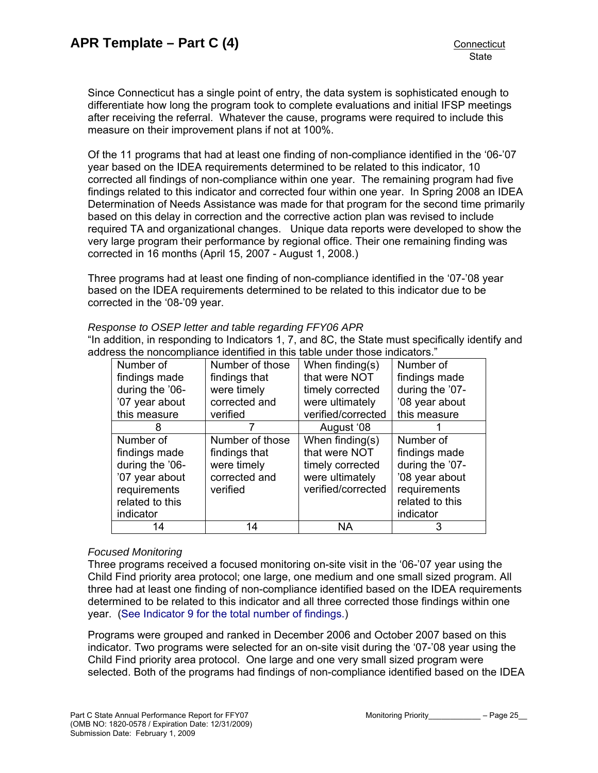Since Connecticut has a single point of entry, the data system is sophisticated enough to differentiate how long the program took to complete evaluations and initial IFSP meetings after receiving the referral. Whatever the cause, programs were required to include this measure on their improvement plans if not at 100%.

Of the 11 programs that had at least one finding of non-compliance identified in the '06-'07 year based on the IDEA requirements determined to be related to this indicator, 10 corrected all findings of non-compliance within one year. The remaining program had five findings related to this indicator and corrected four within one year. In Spring 2008 an IDEA Determination of Needs Assistance was made for that program for the second time primarily based on this delay in correction and the corrective action plan was revised to include required TA and organizational changes. Unique data reports were developed to show the very large program their performance by regional office. Their one remaining finding was corrected in 16 months (April 15, 2007 - August 1, 2008.)

Three programs had at least one finding of non-compliance identified in the '07-'08 year based on the IDEA requirements determined to be related to this indicator due to be corrected in the '08-'09 year.

#### *Response to OSEP letter and table regarding FFY06 APR*

"In addition, in responding to Indicators 1, 7, and 8C, the State must specifically identify and address the noncompliance identified in this table under those indicators."

| Number of       | Number of those | When finding $(s)$ | Number of       |
|-----------------|-----------------|--------------------|-----------------|
| findings made   | findings that   | that were NOT      | findings made   |
| during the '06- | were timely     | timely corrected   | during the '07- |
| '07 year about  | corrected and   | were ultimately    | '08 year about  |
| this measure    | verified        | verified/corrected | this measure    |
| 8               |                 | August '08         |                 |
| Number of       | Number of those | When finding(s)    | Number of       |
| findings made   | findings that   | that were NOT      | findings made   |
| during the '06- | were timely     | timely corrected   | during the '07- |
| '07 year about  | corrected and   | were ultimately    | '08 year about  |
| requirements    | verified        | verified/corrected | requirements    |
| related to this |                 |                    | related to this |
| indicator       |                 |                    | indicator       |
| 14              | 14              | ΝA                 | З               |

## *Focused Monitoring*

Three programs received a focused monitoring on-site visit in the '06-'07 year using the Child Find priority area protocol; one large, one medium and one small sized program. All three had at least one finding of non-compliance identified based on the IDEA requirements determined to be related to this indicator and all three corrected those findings within one year. [\(See Indicator 9 for the total number of findings.\)](#page-32-0)

Programs were grouped and ranked in December 2006 and October 2007 based on this indicator. Two programs were selected for an on-site visit during the '07-'08 year using the Child Find priority area protocol. One large and one very small sized program were selected. Both of the programs had findings of non-compliance identified based on the IDEA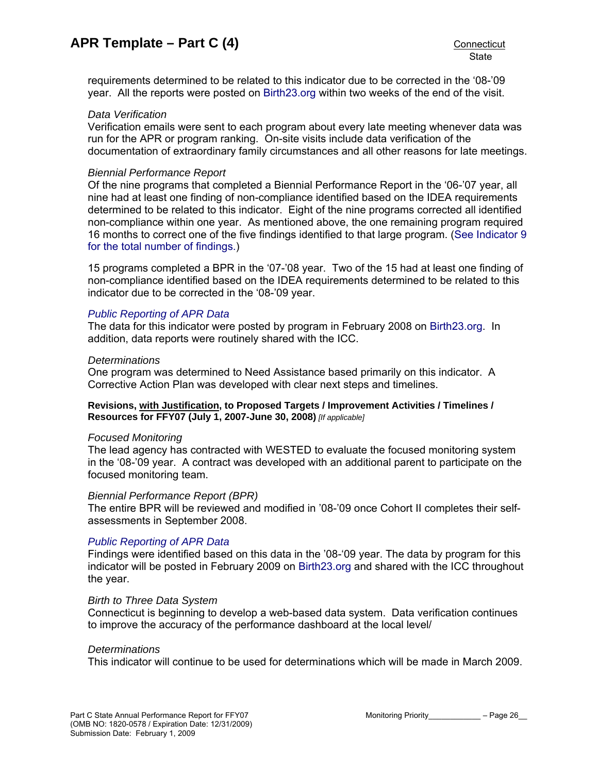requirements determined to be related to this indicator due to be corrected in the '08-'09 year. All the reports were posted on [Birth23.org](http://www.birth23.org/) within two weeks of the end of the visit.

#### *Data Verification*

Verification emails were sent to each program about every late meeting whenever data was run for the APR or program ranking. On-site visits include data verification of the documentation of extraordinary family circumstances and all other reasons for late meetings.

#### *Biennial Performance Report*

Of the nine programs that completed a Biennial Performance Report in the '06-'07 year, all nine had at least one finding of non-compliance identified based on the IDEA requirements determined to be related to this indicator. Eight of the nine programs corrected all identified non-compliance within one year. As mentioned above, the one remaining program required 16 months to correct one of the five findings identified to that large program. [\(See Indicator 9](#page-32-0)  [for the total number of findings.\)](#page-32-0)

15 programs completed a BPR in the '07-'08 year. Two of the 15 had at least one finding of non-compliance identified based on the IDEA requirements determined to be related to this indicator due to be corrected in the '08-'09 year.

## *[Public Reporting of APR Data](http://www.birth23.org/state_performance_plans_and_annu.htm)*

The data for this indicator were posted by program in February 2008 on [Birth23.org](http://www.birth23.org/). In addition, data reports were routinely shared with the ICC.

#### *Determinations*

One program was determined to Need Assistance based primarily on this indicator. A Corrective Action Plan was developed with clear next steps and timelines.

#### **Revisions, with Justification, to Proposed Targets / Improvement Activities / Timelines / Resources for FFY07 (July 1, 2007-June 30, 2008)** *[If applicable]*

#### *Focused Monitoring*

The lead agency has contracted with WESTED to evaluate the focused monitoring system in the '08-'09 year. A contract was developed with an additional parent to participate on the focused monitoring team.

#### *Biennial Performance Report (BPR)*

The entire BPR will be reviewed and modified in '08-'09 once Cohort II completes their selfassessments in September 2008.

## *[Public Reporting of APR Data](http://www.birth23.org/state_performance_plans_and_annu.htm)*

Findings were identified based on this data in the '08-'09 year. The data by program for this indicator will be posted in February 2009 on [Birth23.org](http://www.birth23.org/) and shared with the ICC throughout the year.

#### *Birth to Three Data System*

Connecticut is beginning to develop a web-based data system. Data verification continues to improve the accuracy of the performance dashboard at the local level/

#### *Determinations*

This indicator will continue to be used for determinations which will be made in March 2009.

Part C State Annual Performance Report for FFY07 Monitoring Priority\_\_\_\_\_\_\_\_\_\_\_\_\_ – Page 26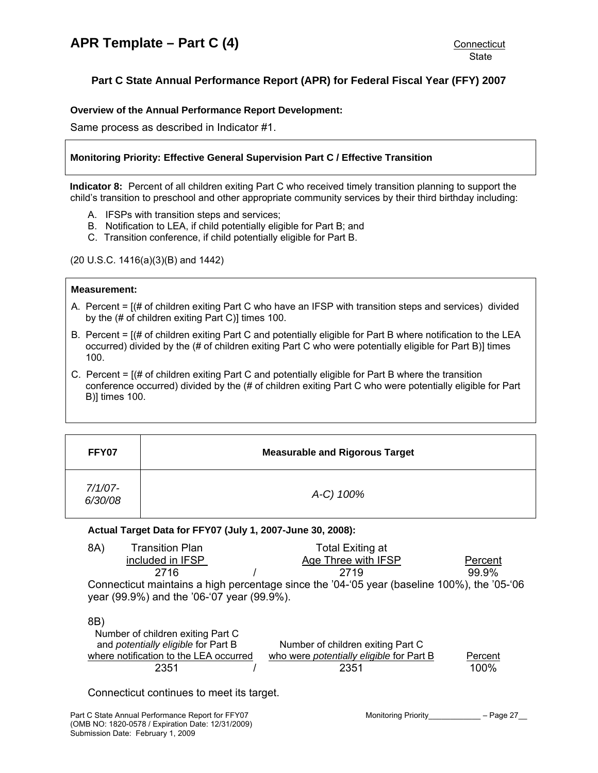# <span id="page-26-0"></span>**Part C State Annual Performance Report (APR) for Federal Fiscal Year (FFY) 2007**

## **Overview of the Annual Performance Report Development:**

Same process as described in Indicator #1.

## **Monitoring Priority: Effective General Supervision Part C / Effective Transition**

**Indicator 8:** Percent of all children exiting Part C who received timely transition planning to support the child's transition to preschool and other appropriate community services by their third birthday including:

- A. IFSPs with transition steps and services;
- B. Notification to LEA, if child potentially eligible for Part B; and
- C. Transition conference, if child potentially eligible for Part B.

(20 U.S.C. 1416(a)(3)(B) and 1442)

### **Measurement:**

- A. Percent = [(# of children exiting Part C who have an IFSP with transition steps and services) divided by the (# of children exiting Part C)] times 100.
- B. Percent = [(# of children exiting Part C and potentially eligible for Part B where notification to the LEA occurred) divided by the (# of children exiting Part C who were potentially eligible for Part B)] times 100.
- C. Percent = [(# of children exiting Part C and potentially eligible for Part B where the transition conference occurred) divided by the (# of children exiting Part C who were potentially eligible for Part B)] times 100.

| FFY07              | <b>Measurable and Rigorous Target</b> |
|--------------------|---------------------------------------|
| 7/1/07-<br>6/30/08 | A-C) 100%                             |

## **Actual Target Data for FFY07 (July 1, 2007-June 30, 2008):**

| 8A) | <b>Transition Plan</b> | Total Exiting at |                                                                                             |         |
|-----|------------------------|------------------|---------------------------------------------------------------------------------------------|---------|
|     | included in IFSP       |                  | Age Three with IFSP                                                                         | Percent |
|     | 2716                   |                  | 2719                                                                                        | 99.9%   |
|     |                        |                  | Connecticut maintains a high percentage since the '04-'05 year (baseline 100%), the '05-'06 |         |

Connecticut maintains a high percentage since the '04-'05 year (baseline 100%), the '05-'06 year (99.9%) and the '06-'07 year (99.9%).

#### 8B)

| Number of children exiting Part C          |                                                 |         |
|--------------------------------------------|-------------------------------------------------|---------|
| and <i>potentially eligible</i> for Part B | Number of children exiting Part C               |         |
| where notification to the LEA occurred     | who were <i>potentially eligible</i> for Part B | Percent |
| 2351                                       | 2351                                            | 100%    |

Connecticut continues to meet its target.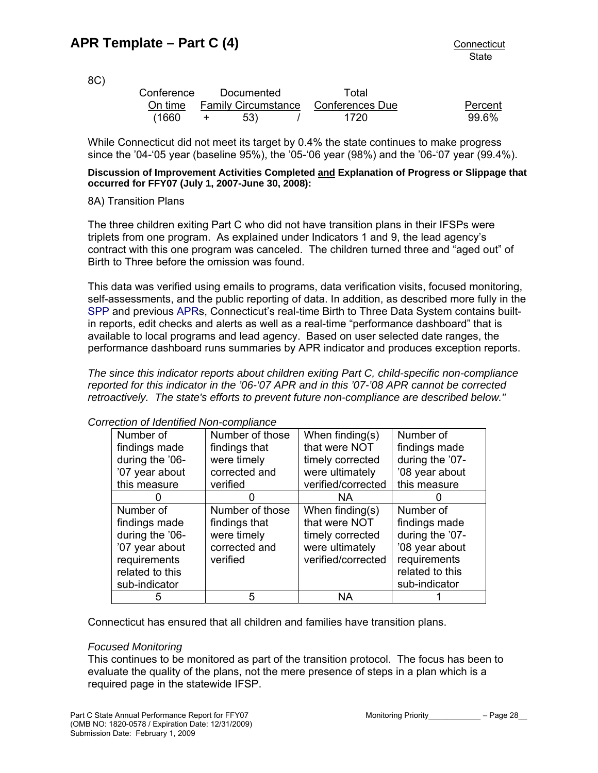8C)

| -- |            |            |                                             |         |
|----|------------|------------|---------------------------------------------|---------|
|    | Conference | Documented | Total                                       |         |
|    |            |            | On time Family Circumstance Conferences Due | Percent |
|    | (1660      | 53)        | 1720                                        | 99.6%   |
|    |            |            |                                             |         |

While Connecticut did not meet its target by 0.4% the state continues to make progress since the '04-'05 year (baseline 95%), the '05-'06 year (98%) and the '06-'07 year (99.4%).

### **Discussion of Improvement Activities Completed and Explanation of Progress or Slippage that occurred for FFY07 (July 1, 2007-June 30, 2008):**

## 8A) Transition Plans

The three children exiting Part C who did not have transition plans in their IFSPs were triplets from one program. As explained under Indicators 1 and 9, the lead agency's contract with this one program was canceled. The children turned three and "aged out" of Birth to Three before the omission was found.

This data was verified using emails to programs, data verification visits, focused monitoring, self-assessments, and the public reporting of data. In addition, as described more fully in the [SPP](http://www.birth23.org/state_performance_plans_and_annu.htm) and previous [APRs](http://www.birth23.org/state_performance_plans_and_annu.htm), Connecticut's real-time Birth to Three Data System contains builtin reports, edit checks and alerts as well as a real-time "performance dashboard" that is available to local programs and lead agency. Based on user selected date ranges, the performance dashboard runs summaries by APR indicator and produces exception reports.

*The since this indicator reports about children exiting Part C, child-specific non-compliance reported for this indicator in the '06-'07 APR and in this '07-'08 APR cannot be corrected retroactively. The state's efforts to prevent future non-compliance are described below."* 

| schon or luentineu ivon-compilance |                 |                    |                 |  |  |
|------------------------------------|-----------------|--------------------|-----------------|--|--|
| Number of                          | Number of those | When finding(s)    | Number of       |  |  |
| findings made                      | findings that   | that were NOT      | findings made   |  |  |
| during the '06-                    | were timely     | timely corrected   | during the '07- |  |  |
| '07 year about                     | corrected and   | were ultimately    | '08 year about  |  |  |
| this measure                       | verified        | verified/corrected | this measure    |  |  |
|                                    |                 | <b>NA</b>          |                 |  |  |
| Number of                          | Number of those | When finding(s)    | Number of       |  |  |
| findings made                      | findings that   | that were NOT      | findings made   |  |  |
| during the '06-                    | were timely     | timely corrected   | during the '07- |  |  |
| '07 year about                     | corrected and   | were ultimately    | '08 year about  |  |  |
| requirements                       | verified        | verified/corrected | requirements    |  |  |
| related to this                    |                 |                    | related to this |  |  |
| sub-indicator                      |                 |                    | sub-indicator   |  |  |
|                                    | 5               | ΝA                 |                 |  |  |

*Correction of Identified Non-compliance* 

Connecticut has ensured that all children and families have transition plans.

## *Focused Monitoring*

This continues to be monitored as part of the transition protocol. The focus has been to evaluate the quality of the plans, not the mere presence of steps in a plan which is a required page in the statewide IFSP.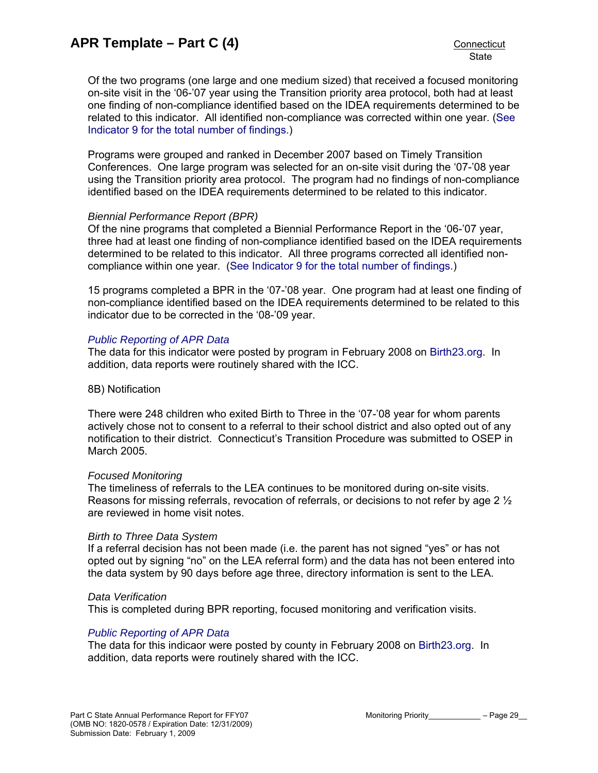Of the two programs (one large and one medium sized) that received a focused monitoring on-site visit in the '06-'07 year using the Transition priority area protocol, both had at least one finding of non-compliance identified based on the IDEA requirements determined to be related to this indicator. All identified non-compliance was corrected within one year. [\(See](#page-32-0)  [Indicator 9 for the total number of findings.](#page-32-0))

Programs were grouped and ranked in December 2007 based on Timely Transition Conferences. One large program was selected for an on-site visit during the '07-'08 year using the Transition priority area protocol. The program had no findings of non-compliance identified based on the IDEA requirements determined to be related to this indicator.

## *Biennial Performance Report (BPR)*

Of the nine programs that completed a Biennial Performance Report in the '06-'07 year, three had at least one finding of non-compliance identified based on the IDEA requirements determined to be related to this indicator. All three programs corrected all identified noncompliance within one year. ([See Indicator 9 for the total number of findings.](#page-32-0))

15 programs completed a BPR in the '07-'08 year. One program had at least one finding of non-compliance identified based on the IDEA requirements determined to be related to this indicator due to be corrected in the '08-'09 year.

## *[Public Reporting of APR Data](http://www.birth23.org/state_performance_plans_and_annu.htm)*

The data for this indicator were posted by program in February 2008 on [Birth23.org](http://www.birth23.org/). In addition, data reports were routinely shared with the ICC.

## 8B) Notification

There were 248 children who exited Birth to Three in the '07-'08 year for whom parents actively chose not to consent to a referral to their school district and also opted out of any notification to their district. Connecticut's Transition Procedure was submitted to OSEP in March 2005.

## *Focused Monitoring*

The timeliness of referrals to the LEA continues to be monitored during on-site visits. Reasons for missing referrals, revocation of referrals, or decisions to not refer by age 2  $\frac{1}{2}$ are reviewed in home visit notes.

## *Birth to Three Data System*

If a referral decision has not been made (i.e. the parent has not signed "yes" or has not opted out by signing "no" on the LEA referral form) and the data has not been entered into the data system by 90 days before age three, directory information is sent to the LEA.

## *Data Verification*

This is completed during BPR reporting, focused monitoring and verification visits.

## *[Public Reporting of APR Data](http://www.birth23.org/state_performance_plans_and_annu.htm)*

The data for this indicaor were posted by county in February 2008 on [Birth23.org.](http://www.birth23.org/) In addition, data reports were routinely shared with the ICC.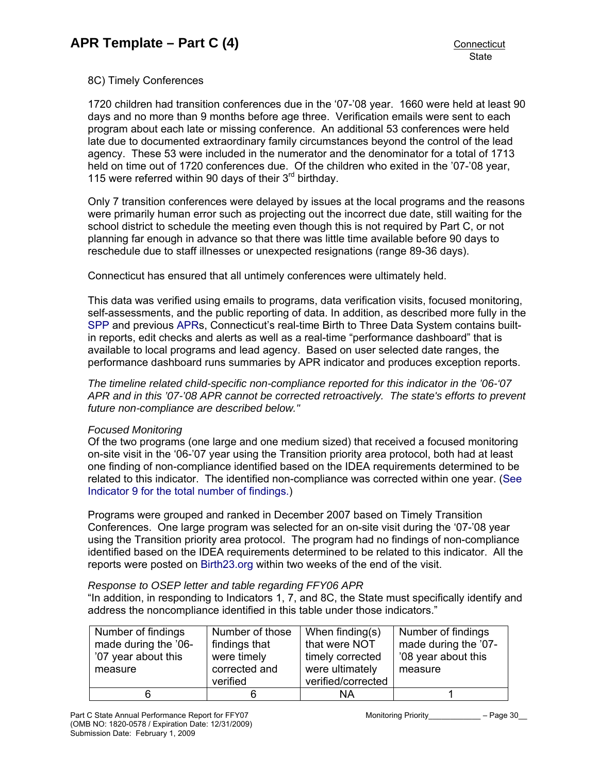## 8C) Timely Conferences

1720 children had transition conferences due in the '07-'08 year. 1660 were held at least 90 days and no more than 9 months before age three. Verification emails were sent to each program about each late or missing conference. An additional 53 conferences were held late due to documented extraordinary family circumstances beyond the control of the lead agency. These 53 were included in the numerator and the denominator for a total of 1713 held on time out of 1720 conferences due. Of the children who exited in the '07-'08 year, 115 were referred within 90 days of their 3<sup>rd</sup> birthday.

Only 7 transition conferences were delayed by issues at the local programs and the reasons were primarily human error such as projecting out the incorrect due date, still waiting for the school district to schedule the meeting even though this is not required by Part C, or not planning far enough in advance so that there was little time available before 90 days to reschedule due to staff illnesses or unexpected resignations (range 89-36 days).

Connecticut has ensured that all untimely conferences were ultimately held.

This data was verified using emails to programs, data verification visits, focused monitoring, self-assessments, and the public reporting of data. In addition, as described more fully in the [SPP](http://www.birth23.org/state_performance_plans_and_annu.htm) and previous [APRs](http://www.birth23.org/state_performance_plans_and_annu.htm), Connecticut's real-time Birth to Three Data System contains builtin reports, edit checks and alerts as well as a real-time "performance dashboard" that is available to local programs and lead agency. Based on user selected date ranges, the performance dashboard runs summaries by APR indicator and produces exception reports.

*The timeline related child-specific non-compliance reported for this indicator in the '06-'07 APR and in this '07-'08 APR cannot be corrected retroactively. The state's efforts to prevent future non-compliance are described below."* 

## *Focused Monitoring*

Of the two programs (one large and one medium sized) that received a focused monitoring on-site visit in the '06-'07 year using the Transition priority area protocol, both had at least one finding of non-compliance identified based on the IDEA requirements determined to be related to this indicator. The identified non-compliance was corrected within one year. ([See](#page-32-0)  [Indicator 9 for the total number of findings.](#page-32-0))

Programs were grouped and ranked in December 2007 based on Timely Transition Conferences. One large program was selected for an on-site visit during the '07-'08 year using the Transition priority area protocol. The program had no findings of non-compliance identified based on the IDEA requirements determined to be related to this indicator. All the reports were posted on [Birth23.org](http://www.birth23.org/) within two weeks of the end of the visit.

## *Response to OSEP letter and table regarding FFY06 APR*

"In addition, in responding to Indicators 1, 7, and 8C, the State must specifically identify and address the noncompliance identified in this table under those indicators."

| Number of findings   | Number of those | When finding $(s)$ | Number of findings   |
|----------------------|-----------------|--------------------|----------------------|
| made during the '06- | findings that   | that were NOT      | made during the '07- |
| '07 year about this  | were timely     | timely corrected   | '08 year about this  |
| measure              | corrected and   | were ultimately    | measure              |
|                      | verified        | verified/corrected |                      |
| 6                    |                 | NA                 |                      |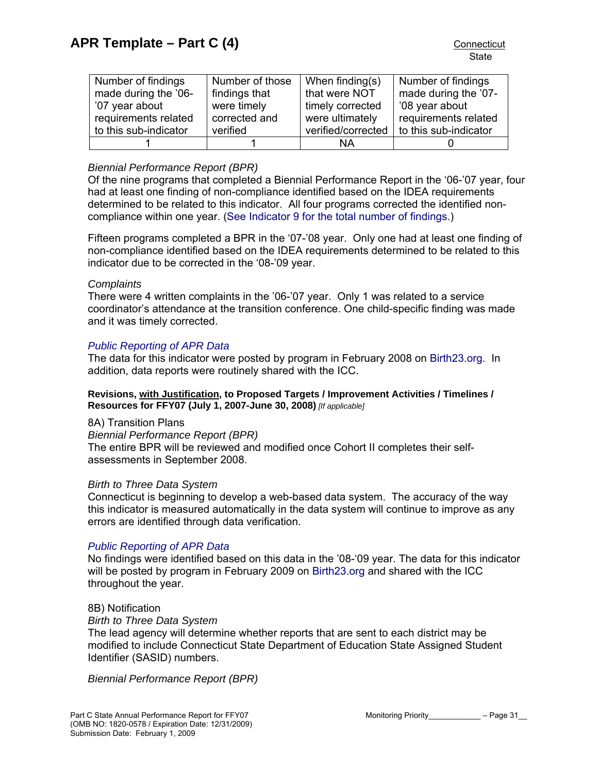| Number of findings    | Number of those | When finding $(s)$ | Number of findings    |
|-----------------------|-----------------|--------------------|-----------------------|
| made during the '06-  | findings that   | that were NOT      | made during the '07-  |
| '07 year about        | were timely     | timely corrected   | '08 year about        |
| requirements related  | corrected and   | were ultimately    | requirements related  |
| to this sub-indicator | verified        | verified/corrected | to this sub-indicator |
|                       |                 | NA                 |                       |

## *Biennial Performance Report (BPR)*

Of the nine programs that completed a Biennial Performance Report in the '06-'07 year, four had at least one finding of non-compliance identified based on the IDEA requirements determined to be related to this indicator. All four programs corrected the identified noncompliance within one year. [\(See Indicator 9 for the total number of findings.](#page-32-0))

Fifteen programs completed a BPR in the '07-'08 year. Only one had at least one finding of non-compliance identified based on the IDEA requirements determined to be related to this indicator due to be corrected in the '08-'09 year.

## *Complaints*

There were 4 written complaints in the '06-'07 year. Only 1 was related to a service coordinator's attendance at the transition conference. One child-specific finding was made and it was timely corrected.

## *[Public Reporting of APR Data](http://www.birth23.org/state_performance_plans_and_annu.htm)*

The data for this indicator were posted by program in February 2008 on [Birth23.org](http://www.birth23.org/). In addition, data reports were routinely shared with the ICC.

#### **Revisions, with Justification, to Proposed Targets / Improvement Activities / Timelines / Resources for FFY07 (July 1, 2007-June 30, 2008)** *[If applicable]*

8A) Transition Plans

*Biennial Performance Report (BPR)* 

The entire BPR will be reviewed and modified once Cohort II completes their selfassessments in September 2008.

## *Birth to Three Data System*

Connecticut is beginning to develop a web-based data system. The accuracy of the way this indicator is measured automatically in the data system will continue to improve as any errors are identified through data verification.

## *[Public Reporting of APR Data](http://www.birth23.org/state_performance_plans_and_annu.htm)*

No findings were identified based on this data in the '08-'09 year. The data for this indicator will be posted by program in February 2009 on [Birth23.org](http://www.birth23.org/) and shared with the ICC throughout the year.

#### 8B) Notification

*Birth to Three Data System* 

The lead agency will determine whether reports that are sent to each district may be modified to include Connecticut State Department of Education State Assigned Student Identifier (SASID) numbers.

*Biennial Performance Report (BPR)*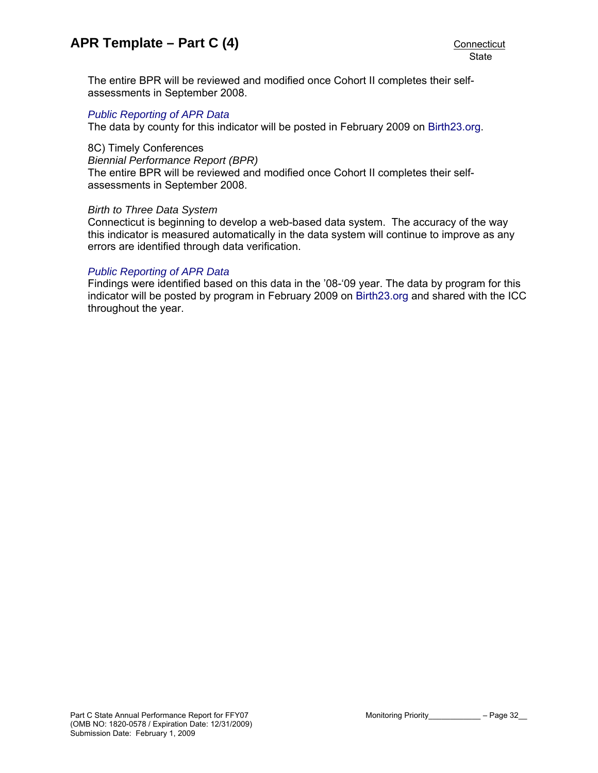The entire BPR will be reviewed and modified once Cohort II completes their selfassessments in September 2008.

#### *[Public Reporting of APR Data](http://www.birth23.org/state_performance_plans_and_annu.htm)*

The data by county for this indicator will be posted in February 2009 on [Birth23.org](http://www.birth23.org/).

## 8C) Timely Conferences

*Biennial Performance Report (BPR)*  The entire BPR will be reviewed and modified once Cohort II completes their selfassessments in September 2008.

#### *Birth to Three Data System*

Connecticut is beginning to develop a web-based data system. The accuracy of the way this indicator is measured automatically in the data system will continue to improve as any errors are identified through data verification.

#### *[Public Reporting of APR Data](http://www.birth23.org/state_performance_plans_and_annu.htm)*

Findings were identified based on this data in the '08-'09 year. The data by program for this indicator will be posted by program in February 2009 on [Birth23.org](http://www.birth23.org/) and shared with the ICC throughout the year.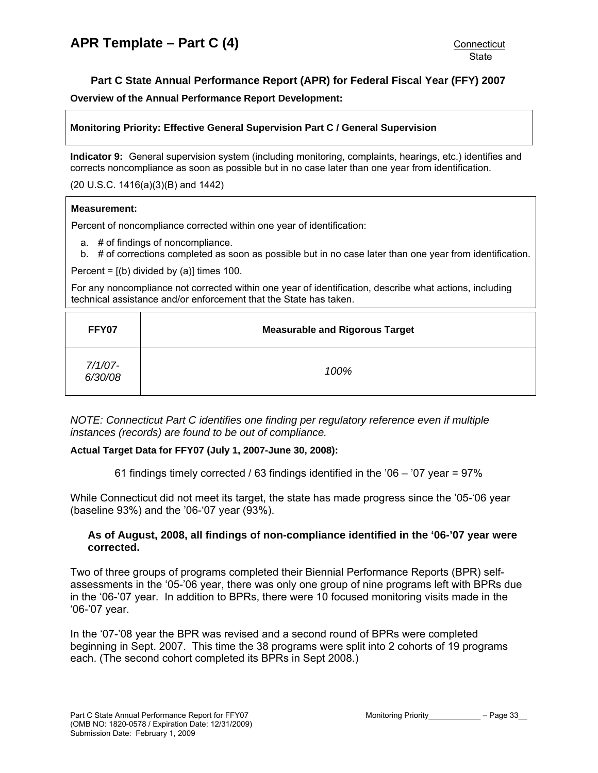## **Part C State Annual Performance Report (APR) for Federal Fiscal Year (FFY) 2007**

<span id="page-32-0"></span>**Overview of the Annual Performance Report Development:** 

#### **Monitoring Priority: Effective General Supervision Part C / General Supervision**

**Indicator 9:** General supervision system (including monitoring, complaints, hearings, etc.) identifies and corrects noncompliance as soon as possible but in no case later than one year from identification.

#### (20 U.S.C. 1416(a)(3)(B) and 1442)

#### **Measurement:**

Percent of noncompliance corrected within one year of identification:

a. # of findings of noncompliance.

b. # of corrections completed as soon as possible but in no case later than one year from identification.

Percent =  $[(b)$  divided by  $(a)]$  times 100.

For any noncompliance not corrected within one year of identification, describe what actions, including technical assistance and/or enforcement that the State has taken.

| FFY07                 | <b>Measurable and Rigorous Target</b> |
|-----------------------|---------------------------------------|
| $7/1/07 -$<br>6/30/08 | 100%                                  |

*NOTE: Connecticut Part C identifies one finding per regulatory reference even if multiple instances (records) are found to be out of compliance.* 

#### **Actual Target Data for FFY07 (July 1, 2007-June 30, 2008):**

61 findings timely corrected / 63 findings identified in the '06 – '07 year = 97%

While Connecticut did not meet its target, the state has made progress since the '05-'06 year (baseline 93%) and the '06-'07 year (93%).

## **As of August, 2008, all findings of non-compliance identified in the '06-'07 year were corrected.**

Two of three groups of programs completed their Biennial Performance Reports (BPR) selfassessments in the '05-'06 year, there was only one group of nine programs left with BPRs due in the '06-'07 year. In addition to BPRs, there were 10 focused monitoring visits made in the '06-'07 year.

In the '07-'08 year the BPR was revised and a second round of BPRs were completed beginning in Sept. 2007. This time the 38 programs were split into 2 cohorts of 19 programs each. (The second cohort completed its BPRs in Sept 2008.)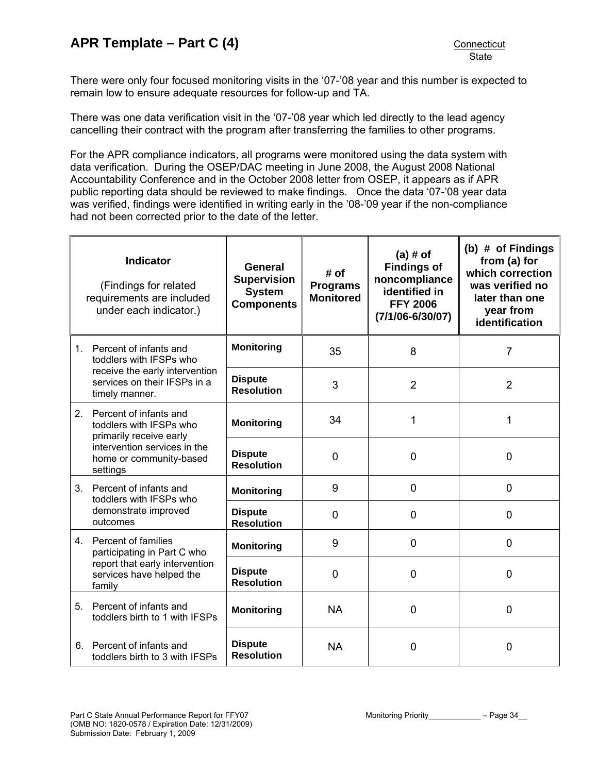There were only four focused monitoring visits in the '07-'08 year and this number is expected to remain low to ensure adequate resources for follow-up and TA.

There was one data verification visit in the '07-'08 year which led directly to the lead agency cancelling their contract with the program after transferring the families to other programs.

For the APR compliance indicators, all programs were monitored using the data system with data verification. During the OSEP/DAC meeting in June 2008, the August 2008 National Accountability Conference and in the October 2008 letter from OSEP, it appears as if APR public reporting data should be reviewed to make findings. Once the data '07-'08 year data was verified, findings were identified in writing early in the '08-'09 year if the non-compliance had not been corrected prior to the date of the letter.

|    | <b>Indicator</b><br>(Findings for related<br>requirements are included<br>under each indicator.) | General<br><b>Supervision</b><br><b>System</b><br><b>Components</b> | # of<br><b>Programs</b><br><b>Monitored</b> | $(a)$ # of<br><b>Findings of</b><br>noncompliance<br>identified in<br><b>FFY 2006</b><br>$(7/1/06 - 6/30/07)$ | (b) # of Findings<br>from (a) for<br>which correction<br>was verified no<br>later than one<br>year from<br>identification |
|----|--------------------------------------------------------------------------------------------------|---------------------------------------------------------------------|---------------------------------------------|---------------------------------------------------------------------------------------------------------------|---------------------------------------------------------------------------------------------------------------------------|
|    | 1. Percent of infants and<br>toddlers with IFSPs who                                             | <b>Monitoring</b>                                                   | 35                                          | 8                                                                                                             | $\overline{7}$                                                                                                            |
|    | receive the early intervention<br>services on their IFSPs in a<br>timely manner.                 | <b>Dispute</b><br><b>Resolution</b>                                 | 3                                           | $\overline{2}$                                                                                                | $\overline{2}$                                                                                                            |
|    | 2. Percent of infants and<br>toddlers with IFSPs who<br>primarily receive early                  | <b>Monitoring</b>                                                   | 34                                          | 1                                                                                                             | 1                                                                                                                         |
|    | intervention services in the<br>home or community-based<br>settings                              | <b>Dispute</b><br><b>Resolution</b>                                 | $\mathbf 0$                                 | $\overline{0}$                                                                                                | $\mathbf 0$                                                                                                               |
|    | 3. Percent of infants and<br>toddlers with IFSPs who                                             | <b>Monitoring</b>                                                   | 9                                           | $\mathbf 0$                                                                                                   | 0                                                                                                                         |
|    | demonstrate improved<br>outcomes                                                                 | <b>Dispute</b><br><b>Resolution</b>                                 | $\mathbf 0$                                 | $\mathbf 0$                                                                                                   | $\mathbf 0$                                                                                                               |
|    | 4. Percent of families<br>participating in Part C who                                            | <b>Monitoring</b>                                                   | 9                                           | $\mathbf 0$                                                                                                   | 0                                                                                                                         |
|    | report that early intervention<br>services have helped the<br>family                             | <b>Dispute</b><br><b>Resolution</b>                                 | $\overline{0}$                              | $\mathbf 0$                                                                                                   | 0                                                                                                                         |
| 5. | Percent of infants and<br>toddlers birth to 1 with IFSPs                                         | <b>Monitoring</b>                                                   | <b>NA</b>                                   | $\mathbf 0$                                                                                                   | 0                                                                                                                         |
| 6. | Percent of infants and<br>toddlers birth to 3 with IFSPs                                         | <b>Dispute</b><br><b>Resolution</b>                                 | <b>NA</b>                                   | 0                                                                                                             | 0                                                                                                                         |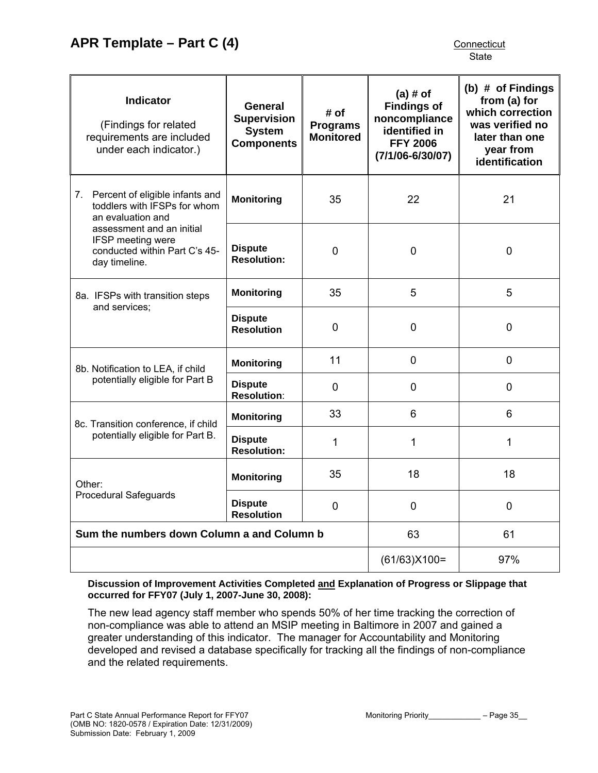| <b>Indicator</b><br>(Findings for related<br>requirements are included<br>under each indicator.) | General<br><b>Supervision</b><br><b>System</b><br><b>Components</b> | # of<br><b>Programs</b><br><b>Monitored</b> | $(a)$ # of<br><b>Findings of</b><br>noncompliance<br>identified in<br><b>FFY 2006</b><br>$(7/1/06 - 6/30/07)$ | (b) $#$ of Findings<br>from (a) for<br>which correction<br>was verified no<br>later than one<br>year from<br>identification |
|--------------------------------------------------------------------------------------------------|---------------------------------------------------------------------|---------------------------------------------|---------------------------------------------------------------------------------------------------------------|-----------------------------------------------------------------------------------------------------------------------------|
| 7. Percent of eligible infants and<br>toddlers with IFSPs for whom<br>an evaluation and          | <b>Monitoring</b>                                                   | 35                                          | 22                                                                                                            | 21                                                                                                                          |
| assessment and an initial<br>IFSP meeting were<br>conducted within Part C's 45-<br>day timeline. | <b>Dispute</b><br><b>Resolution:</b>                                | 0                                           | $\overline{0}$                                                                                                | $\mathbf 0$                                                                                                                 |
| 8a. IFSPs with transition steps                                                                  | <b>Monitoring</b>                                                   | 35                                          | 5                                                                                                             | 5                                                                                                                           |
| and services;                                                                                    | <b>Dispute</b><br><b>Resolution</b>                                 | $\mathbf 0$                                 | $\mathbf 0$                                                                                                   | $\mathbf 0$                                                                                                                 |
| 8b. Notification to LEA, if child                                                                | <b>Monitoring</b>                                                   | 11                                          | $\mathbf 0$                                                                                                   | $\mathbf 0$                                                                                                                 |
| potentially eligible for Part B                                                                  | <b>Dispute</b><br><b>Resolution:</b>                                | $\mathbf 0$                                 | 0                                                                                                             | $\mathbf 0$                                                                                                                 |
| 8c. Transition conference, if child                                                              | <b>Monitoring</b>                                                   | 33                                          | 6                                                                                                             | 6                                                                                                                           |
| potentially eligible for Part B.                                                                 | <b>Dispute</b><br><b>Resolution:</b>                                | 1                                           | 1                                                                                                             | $\mathbf{1}$                                                                                                                |
| Other:                                                                                           | <b>Monitoring</b>                                                   | 35                                          | 18                                                                                                            | 18                                                                                                                          |
| <b>Procedural Safeguards</b>                                                                     | <b>Dispute</b><br><b>Resolution</b>                                 | $\mathbf 0$                                 | $\mathbf 0$                                                                                                   | 0                                                                                                                           |
| Sum the numbers down Column a and Column b                                                       |                                                                     |                                             | 63                                                                                                            | 61                                                                                                                          |
|                                                                                                  |                                                                     |                                             | $(61/63)X100=$                                                                                                | 97%                                                                                                                         |

**Discussion of Improvement Activities Completed and Explanation of Progress or Slippage that occurred for FFY07 (July 1, 2007-June 30, 2008):** 

The new lead agency staff member who spends 50% of her time tracking the correction of non-compliance was able to attend an MSIP meeting in Baltimore in 2007 and gained a greater understanding of this indicator. The manager for Accountability and Monitoring developed and revised a database specifically for tracking all the findings of non-compliance and the related requirements.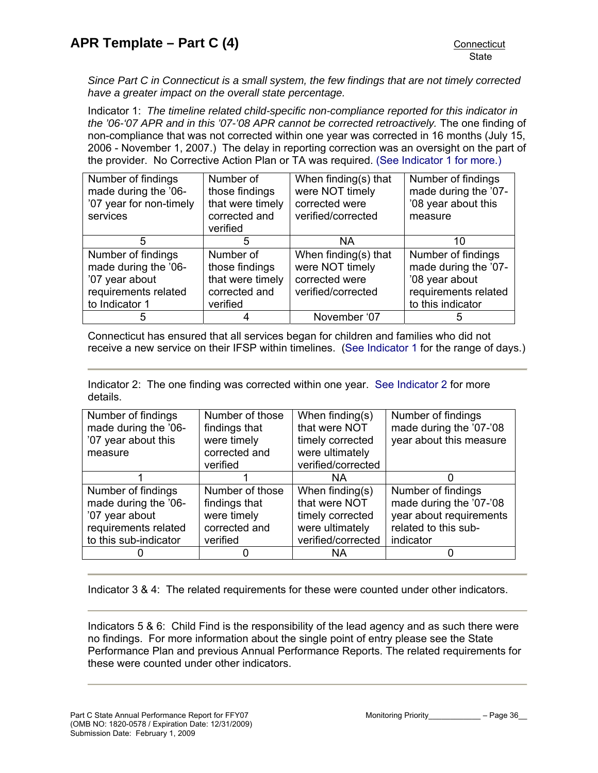*Since Part C in Connecticut is a small system, the few findings that are not timely corrected have a greater impact on the overall state percentage.* 

Indicator 1: *The timeline related child-specific non-compliance reported for this indicator in the '06-'07 APR and in this '07-'08 APR cannot be corrected retroactively.* The one finding of non-compliance that was not corrected within one year was corrected in 16 months (July 15, 2006 - November 1, 2007.) The delay in reporting correction was an oversight on the part of the provider. No Corrective Action Plan or TA was required. [\(See Indicator 1 for more.\)](#page-2-0)

| Number of findings<br>made during the '06-<br>'07 year for non-timely<br>services                      | Number of<br>those findings<br>that were timely<br>corrected and<br>verified | When finding(s) that<br>were NOT timely<br>corrected were<br>verified/corrected | Number of findings<br>made during the '07-<br>'08 year about this<br>measure                              |
|--------------------------------------------------------------------------------------------------------|------------------------------------------------------------------------------|---------------------------------------------------------------------------------|-----------------------------------------------------------------------------------------------------------|
| 5                                                                                                      | 5                                                                            | <b>NA</b>                                                                       | 10                                                                                                        |
| Number of findings<br>made during the '06-<br>'07 year about<br>requirements related<br>to Indicator 1 | Number of<br>those findings<br>that were timely<br>corrected and<br>verified | When finding(s) that<br>were NOT timely<br>corrected were<br>verified/corrected | Number of findings<br>made during the '07-<br>'08 year about<br>requirements related<br>to this indicator |
| 5                                                                                                      |                                                                              | November '07                                                                    | 5                                                                                                         |

Connecticut has ensured that all services began for children and families who did not receive a new service on their IFSP within timelines. [\(See Indicator 1](#page-2-0) for the range of days.)

Indicator 2: The one finding was corrected within one year. [See Indicator 2](#page-6-0) for more details.

| Number of findings    | Number of those | When finding $(s)$ | Number of findings      |
|-----------------------|-----------------|--------------------|-------------------------|
| made during the '06-  | findings that   | that were NOT      | made during the '07-'08 |
| '07 year about this   | were timely     | timely corrected   | year about this measure |
| measure               | corrected and   | were ultimately    |                         |
|                       | verified        | verified/corrected |                         |
|                       |                 | NA.                |                         |
| Number of findings    | Number of those | When finding(s)    | Number of findings      |
| made during the '06-  | findings that   | that were NOT      | made during the '07-'08 |
| '07 year about        | were timely     | timely corrected   | year about requirements |
| requirements related  | corrected and   | were ultimately    | related to this sub-    |
| to this sub-indicator | verified        | verified/corrected | indicator               |
|                       | 0               | <b>NA</b>          |                         |

Indicator 3 & 4: The related requirements for these were counted under other indicators.

Indicators 5 & 6: Child Find is the responsibility of the lead agency and as such there were no findings. For more information about the single point of entry please see the State Performance Plan and previous Annual Performance Reports. The related requirements for these were counted under other indicators.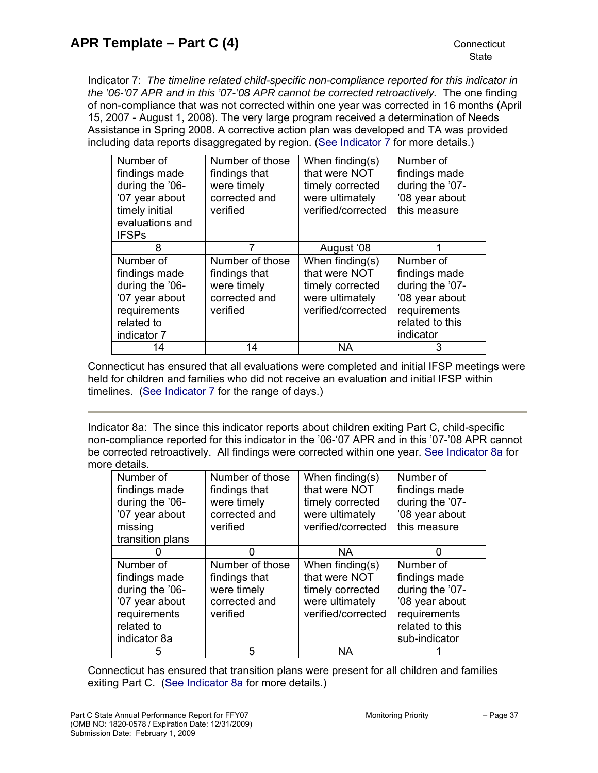Indicator 7: *The timeline related child-specific non-compliance reported for this indicator in the '06-'07 APR and in this '07-'08 APR cannot be corrected retroactively.* The one finding of non-compliance that was not corrected within one year was corrected in 16 months (April 15, 2007 - August 1, 2008). The very large program received a determination of Needs Assistance in Spring 2008. A corrective action plan was developed and TA was provided including data reports disaggregated by region. ([See Indicator 7](#page-21-0) for more details.)

| Number of       | Number of those | When finding $(s)$ | Number of       |
|-----------------|-----------------|--------------------|-----------------|
| findings made   | findings that   | that were NOT      | findings made   |
| during the '06- | were timely     | timely corrected   | during the '07- |
| '07 year about  | corrected and   | were ultimately    | '08 year about  |
| timely initial  | verified        | verified/corrected | this measure    |
| evaluations and |                 |                    |                 |
| <b>IFSPs</b>    |                 |                    |                 |
| 8               | 7               | August '08         | 1               |
| Number of       | Number of those | When finding(s)    | Number of       |
| findings made   | findings that   | that were NOT      | findings made   |
| during the '06- | were timely     | timely corrected   | during the '07- |
| '07 year about  | corrected and   | were ultimately    | '08 year about  |
| requirements    | verified        | verified/corrected | requirements    |
| related to      |                 |                    | related to this |
| indicator 7     |                 |                    | indicator       |
| 14              | 14              | <b>NA</b>          | 3               |

Connecticut has ensured that all evaluations were completed and initial IFSP meetings were held for children and families who did not receive an evaluation and initial IFSP within timelines. [\(See Indicator 7](#page-21-0) for the range of days.)

Indicator 8a: The since this indicator reports about children exiting Part C, child-specific non-compliance reported for this indicator in the '06-'07 APR and in this '07-'08 APR cannot be corrected retroactively. All findings were corrected within one year. [See Indicator 8a](#page-26-0) for more details.

| Number of        | Number of those | When finding $(s)$ | Number of       |
|------------------|-----------------|--------------------|-----------------|
| findings made    | findings that   | that were NOT      | findings made   |
| during the '06-  | were timely     | timely corrected   | during the '07- |
| '07 year about   | corrected and   | were ultimately    | '08 year about  |
| missing          | verified        | verified/corrected | this measure    |
| transition plans |                 |                    |                 |
|                  |                 | <b>NA</b>          | O               |
| Number of        | Number of those | When finding(s)    | Number of       |
| findings made    | findings that   | that were NOT      | findings made   |
| during the '06-  | were timely     | timely corrected   | during the '07- |
| '07 year about   | corrected and   | were ultimately    | '08 year about  |
| requirements     | verified        | verified/corrected | requirements    |
| related to       |                 |                    | related to this |
| indicator 8a     |                 |                    | sub-indicator   |
|                  | 5               | <b>NA</b>          |                 |

Connecticut has ensured that transition plans were present for all children and families exiting Part C. ([See Indicator 8a](#page-26-0) for more details.)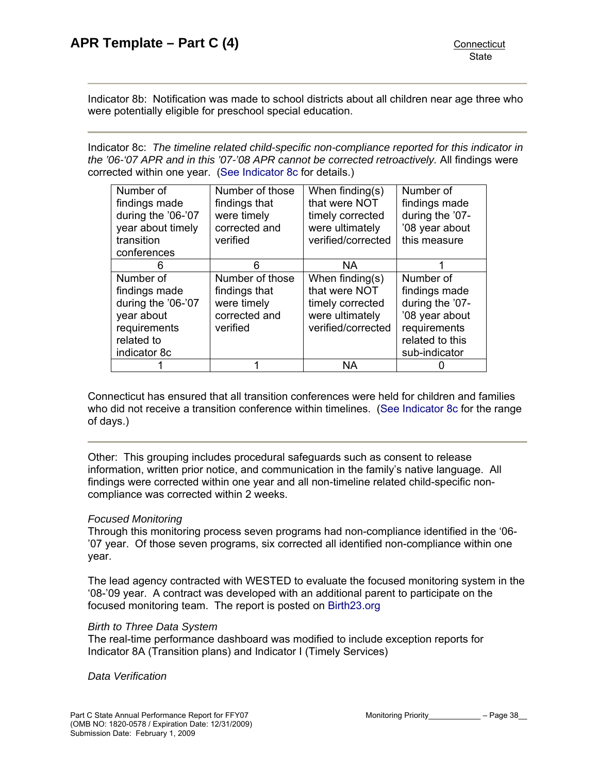Indicator 8b: Notification was made to school districts about all children near age three who were potentially eligible for preschool special education.

Indicator 8c: *The timeline related child-specific non-compliance reported for this indicator in the '06-'07 APR and in this '07-'08 APR cannot be corrected retroactively.* All findings were corrected within one year. ([See Indicator 8c](#page-26-0) for details.)

| Number of<br>findings made<br>during the '06-'07<br>year about timely<br>transition                          | Number of those<br>findings that<br>were timely<br>corrected and<br>verified | When finding $(s)$<br>that were NOT<br>timely corrected<br>were ultimately<br>verified/corrected | Number of<br>findings made<br>during the '07-<br>'08 year about<br>this measure                                     |
|--------------------------------------------------------------------------------------------------------------|------------------------------------------------------------------------------|--------------------------------------------------------------------------------------------------|---------------------------------------------------------------------------------------------------------------------|
| conferences                                                                                                  |                                                                              |                                                                                                  |                                                                                                                     |
| h                                                                                                            | 6                                                                            | NA.                                                                                              |                                                                                                                     |
| Number of<br>findings made<br>during the '06-'07<br>year about<br>requirements<br>related to<br>indicator 8c | Number of those<br>findings that<br>were timely<br>corrected and<br>verified | When finding(s)<br>that were NOT<br>timely corrected<br>were ultimately<br>verified/corrected    | Number of<br>findings made<br>during the '07-<br>'08 year about<br>requirements<br>related to this<br>sub-indicator |
|                                                                                                              |                                                                              | NА                                                                                               |                                                                                                                     |

Connecticut has ensured that all transition conferences were held for children and families who did not receive a transition conference within timelines. ([See Indicator 8c](#page-26-0) for the range of days.)

Other: This grouping includes procedural safeguards such as consent to release information, written prior notice, and communication in the family's native language. All findings were corrected within one year and all non-timeline related child-specific noncompliance was corrected within 2 weeks.

## *Focused Monitoring*

Through this monitoring process seven programs had non-compliance identified in the '06- '07 year. Of those seven programs, six corrected all identified non-compliance within one year.

The lead agency contracted with WESTED to evaluate the focused monitoring system in the '08-'09 year. A contract was developed with an additional parent to participate on the focused monitoring team. The report is posted on [Birth23.org](http://www.birth23.org/)

## *Birth to Three Data System*

The real-time performance dashboard was modified to include exception reports for Indicator 8A (Transition plans) and Indicator I (Timely Services)

*Data Verification*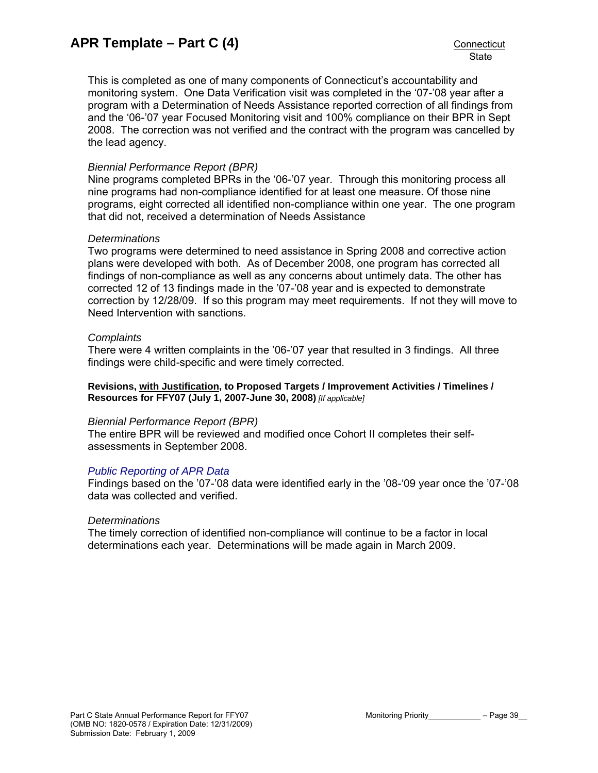This is completed as one of many components of Connecticut's accountability and monitoring system. One Data Verification visit was completed in the '07-'08 year after a program with a Determination of Needs Assistance reported correction of all findings from and the '06-'07 year Focused Monitoring visit and 100% compliance on their BPR in Sept 2008. The correction was not verified and the contract with the program was cancelled by the lead agency.

## *Biennial Performance Report (BPR)*

Nine programs completed BPRs in the '06-'07 year. Through this monitoring process all nine programs had non-compliance identified for at least one measure. Of those nine programs, eight corrected all identified non-compliance within one year. The one program that did not, received a determination of Needs Assistance

## *Determinations*

Two programs were determined to need assistance in Spring 2008 and corrective action plans were developed with both. As of December 2008, one program has corrected all findings of non-compliance as well as any concerns about untimely data. The other has corrected 12 of 13 findings made in the '07-'08 year and is expected to demonstrate correction by 12/28/09. If so this program may meet requirements. If not they will move to Need Intervention with sanctions.

## *Complaints*

There were 4 written complaints in the '06-'07 year that resulted in 3 findings. All three findings were child-specific and were timely corrected.

**Revisions, with Justification, to Proposed Targets / Improvement Activities / Timelines / Resources for FFY07 (July 1, 2007-June 30, 2008)** *[If applicable]*

## *Biennial Performance Report (BPR)*

The entire BPR will be reviewed and modified once Cohort II completes their selfassessments in September 2008.

## *[Public Reporting of APR Data](http://www.birth23.org/state_performance_plans_and_annu.htm)*

Findings based on the '07-'08 data were identified early in the '08-'09 year once the '07-'08 data was collected and verified.

## *Determinations*

The timely correction of identified non-compliance will continue to be a factor in local determinations each year. Determinations will be made again in March 2009.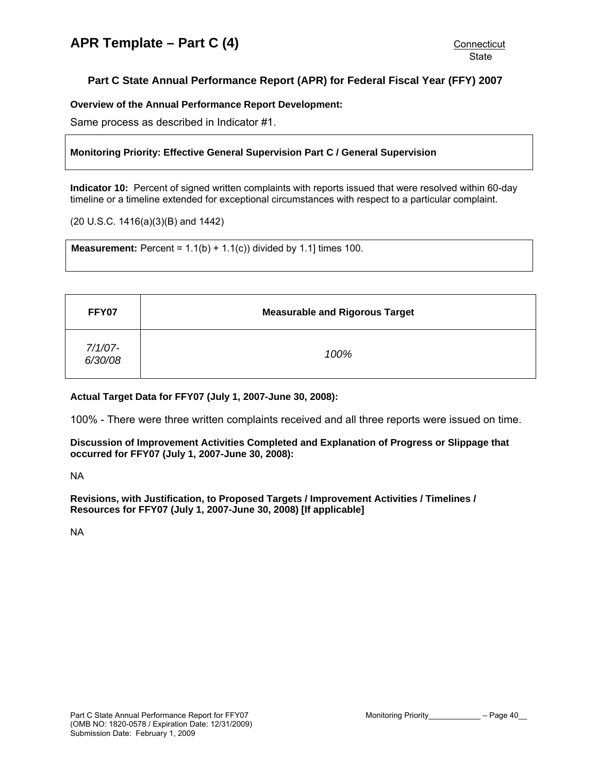## <span id="page-39-0"></span>**Part C State Annual Performance Report (APR) for Federal Fiscal Year (FFY) 2007**

## **Overview of the Annual Performance Report Development:**

Same process as described in Indicator #1.

### **Monitoring Priority: Effective General Supervision Part C / General Supervision**

**Indicator 10:** Percent of signed written complaints with reports issued that were resolved within 60-day timeline or a timeline extended for exceptional circumstances with respect to a particular complaint.

(20 U.S.C. 1416(a)(3)(B) and 1442)

**Measurement:** Percent =  $1.1(b) + 1.1(c)$  divided by 1.1] times 100.

| FFY07              | <b>Measurable and Rigorous Target</b> |
|--------------------|---------------------------------------|
| 7/1/07-<br>6/30/08 | 100%                                  |

#### **Actual Target Data for FFY07 (July 1, 2007-June 30, 2008):**

100% - There were three written complaints received and all three reports were issued on time.

**Discussion of Improvement Activities Completed and Explanation of Progress or Slippage that occurred for FFY07 (July 1, 2007-June 30, 2008):** 

NA

**Revisions, with Justification, to Proposed Targets / Improvement Activities / Timelines / Resources for FFY07 (July 1, 2007-June 30, 2008) [If applicable]**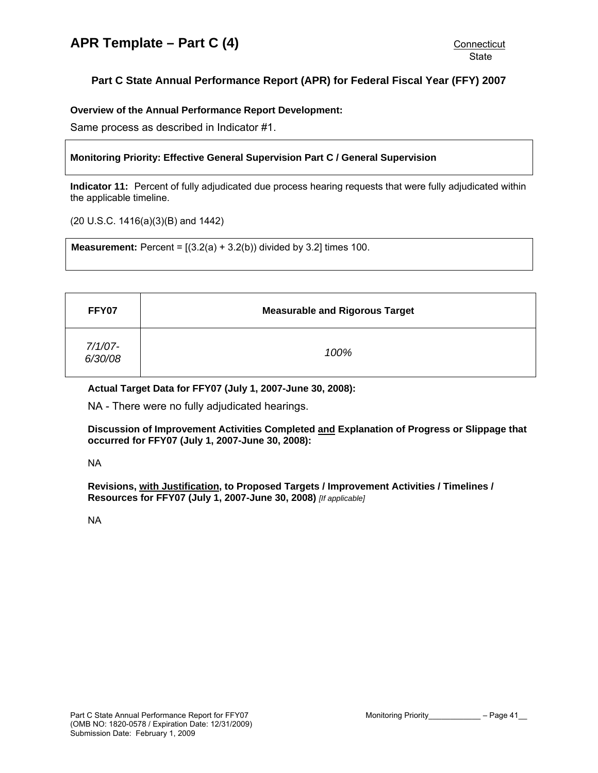## <span id="page-40-0"></span>**Part C State Annual Performance Report (APR) for Federal Fiscal Year (FFY) 2007**

### **Overview of the Annual Performance Report Development:**

Same process as described in Indicator #1.

## **Monitoring Priority: Effective General Supervision Part C / General Supervision**

**Indicator 11:** Percent of fully adjudicated due process hearing requests that were fully adjudicated within the applicable timeline.

(20 U.S.C. 1416(a)(3)(B) and 1442)

**Measurement:** Percent =  $[(3.2(a) + 3.2(b))$  divided by 3.2] times 100.

| FFY07              | <b>Measurable and Rigorous Target</b> |
|--------------------|---------------------------------------|
| 7/1/07-<br>6/30/08 | 100%                                  |

### **Actual Target Data for FFY07 (July 1, 2007-June 30, 2008):**

NA - There were no fully adjudicated hearings.

**Discussion of Improvement Activities Completed and Explanation of Progress or Slippage that occurred for FFY07 (July 1, 2007-June 30, 2008):** 

NA

**Revisions, with Justification, to Proposed Targets / Improvement Activities / Timelines / Resources for FFY07 (July 1, 2007-June 30, 2008)** *[If applicable]*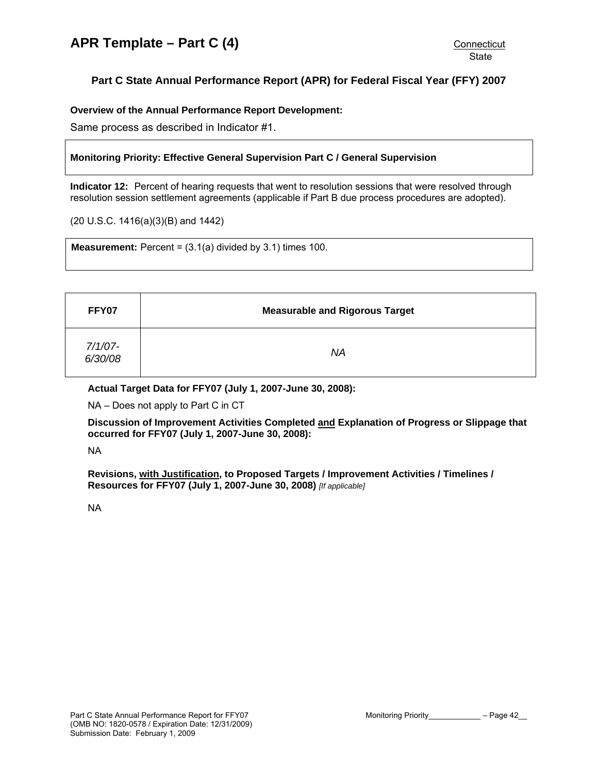## <span id="page-41-0"></span>**Part C State Annual Performance Report (APR) for Federal Fiscal Year (FFY) 2007**

**Overview of the Annual Performance Report Development:** 

Same process as described in Indicator #1.

### **Monitoring Priority: Effective General Supervision Part C / General Supervision**

**Indicator 12:** Percent of hearing requests that went to resolution sessions that were resolved through resolution session settlement agreements (applicable if Part B due process procedures are adopted).

(20 U.S.C. 1416(a)(3)(B) and 1442)

**Measurement:** Percent =  $(3.1(a)$  divided by  $3.1$ ) times 100.

| FFY07              | <b>Measurable and Rigorous Target</b> |
|--------------------|---------------------------------------|
| 7/1/07-<br>6/30/08 | ΝA                                    |

**Actual Target Data for FFY07 (July 1, 2007-June 30, 2008):** 

NA – Does not apply to Part C in CT

**Discussion of Improvement Activities Completed and Explanation of Progress or Slippage that occurred for FFY07 (July 1, 2007-June 30, 2008):** 

NA

**Revisions, with Justification, to Proposed Targets / Improvement Activities / Timelines / Resources for FFY07 (July 1, 2007-June 30, 2008)** *[If applicable]*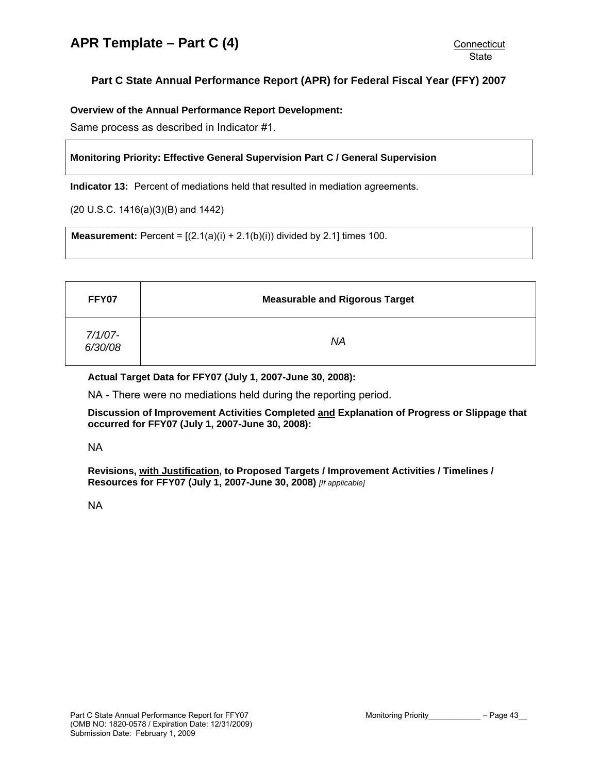# <span id="page-42-0"></span>**Part C State Annual Performance Report (APR) for Federal Fiscal Year (FFY) 2007**

**Overview of the Annual Performance Report Development:** 

Same process as described in Indicator #1.

## **Monitoring Priority: Effective General Supervision Part C / General Supervision**

**Indicator 13:** Percent of mediations held that resulted in mediation agreements.

(20 U.S.C. 1416(a)(3)(B) and 1442)

**Measurement:** Percent =  $[(2.1(a)(i) + 2.1(b)(i))$  divided by 2.1] times 100.

| FFY07              | <b>Measurable and Rigorous Target</b> |
|--------------------|---------------------------------------|
| 7/1/07-<br>6/30/08 | <b>NA</b>                             |

**Actual Target Data for FFY07 (July 1, 2007-June 30, 2008):** 

NA - There were no mediations held during the reporting period.

**Discussion of Improvement Activities Completed and Explanation of Progress or Slippage that occurred for FFY07 (July 1, 2007-June 30, 2008):** 

NA

**Revisions, with Justification, to Proposed Targets / Improvement Activities / Timelines / Resources for FFY07 (July 1, 2007-June 30, 2008)** *[If applicable]*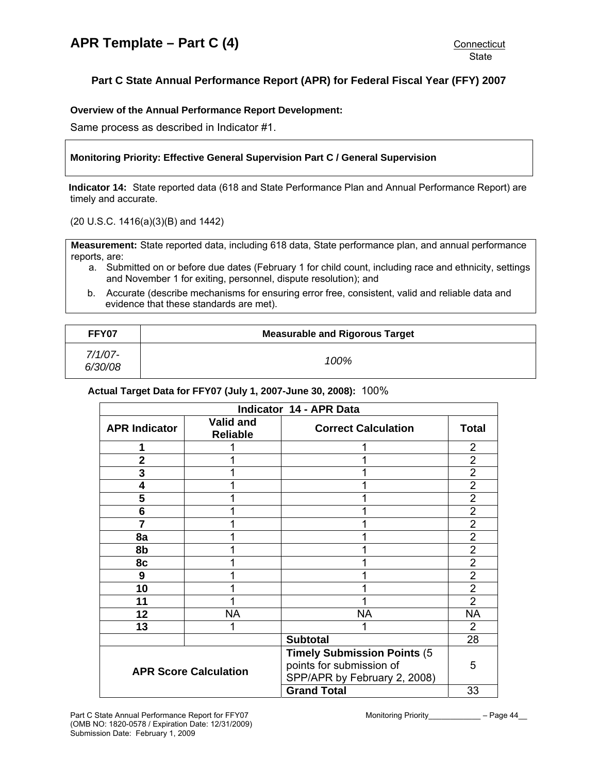# <span id="page-43-0"></span>**Part C State Annual Performance Report (APR) for Federal Fiscal Year (FFY) 2007**

### **Overview of the Annual Performance Report Development:**

Same process as described in Indicator #1.

## **Monitoring Priority: Effective General Supervision Part C / General Supervision**

**Indicator 14:** State reported data (618 and State Performance Plan and Annual Performance Report) are timely and accurate.

(20 U.S.C. 1416(a)(3)(B) and 1442)

**Measurement:** State reported data, including 618 data, State performance plan, and annual performance reports, are:

- a. Submitted on or before due dates (February 1 for child count, including race and ethnicity, settings and November 1 for exiting, personnel, dispute resolution); and
- b. Accurate (describe mechanisms for ensuring error free, consistent, valid and reliable data and evidence that these standards are met).

| FFY07                 | <b>Measurable and Rigorous Target</b> |
|-----------------------|---------------------------------------|
| $7/1/07 -$<br>6/30/08 | 100%                                  |

#### **Actual Target Data for FFY07 (July 1, 2007-June 30, 2008):** 100%

| <b>Indicator 14 - APR Data</b> |                                     |                                                                                                 |                |  |
|--------------------------------|-------------------------------------|-------------------------------------------------------------------------------------------------|----------------|--|
| <b>APR Indicator</b>           | <b>Valid and</b><br><b>Reliable</b> | <b>Correct Calculation</b>                                                                      | <b>Total</b>   |  |
|                                |                                     |                                                                                                 | 2              |  |
| $\overline{2}$                 |                                     |                                                                                                 | $\overline{2}$ |  |
| 3                              |                                     |                                                                                                 | $\overline{2}$ |  |
| 4                              |                                     |                                                                                                 | $\overline{2}$ |  |
| 5                              |                                     |                                                                                                 | 2              |  |
| 6                              |                                     |                                                                                                 | $\overline{2}$ |  |
| 7                              |                                     |                                                                                                 | $\overline{2}$ |  |
| 8a                             |                                     |                                                                                                 | $\overline{2}$ |  |
| 8b                             |                                     |                                                                                                 | $\overline{2}$ |  |
| 8c                             |                                     |                                                                                                 | 2              |  |
| 9                              |                                     |                                                                                                 | $\overline{2}$ |  |
| 10                             |                                     |                                                                                                 | $\overline{2}$ |  |
| 11                             |                                     |                                                                                                 | $\overline{2}$ |  |
| 12                             | <b>NA</b>                           | <b>NA</b>                                                                                       | <b>NA</b>      |  |
| 13                             |                                     |                                                                                                 | 2              |  |
|                                |                                     | <b>Subtotal</b>                                                                                 | 28             |  |
| <b>APR Score Calculation</b>   |                                     | <b>Timely Submission Points (5)</b><br>points for submission of<br>SPP/APR by February 2, 2008) | 5              |  |
|                                |                                     | <b>Grand Total</b>                                                                              | 33             |  |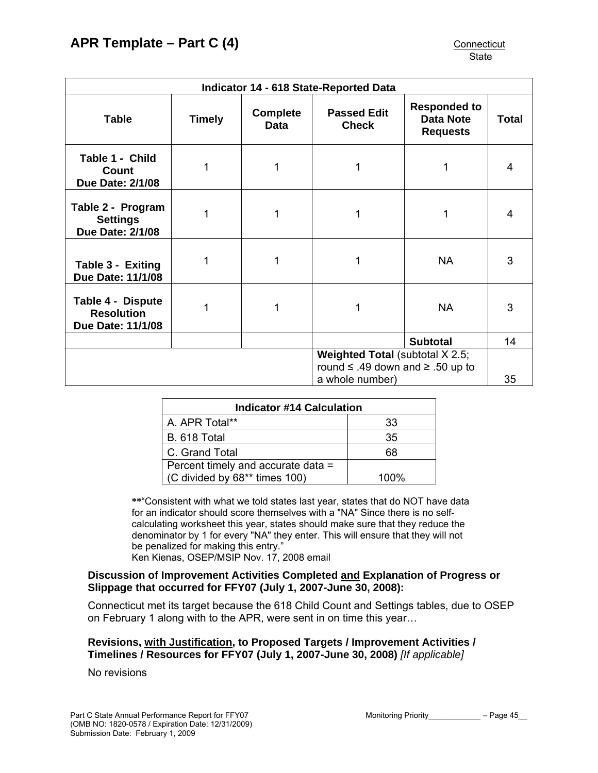| <b>Indicator 14 - 618 State-Reported Data</b>                                        |        |                         |                                    |                                                            |              |
|--------------------------------------------------------------------------------------|--------|-------------------------|------------------------------------|------------------------------------------------------------|--------------|
| <b>Table</b>                                                                         | Timely | <b>Complete</b><br>Data | <b>Passed Edit</b><br><b>Check</b> | <b>Responded to</b><br><b>Data Note</b><br><b>Requests</b> | <b>Total</b> |
| Table 1 - Child<br>Count<br><b>Due Date: 2/1/08</b>                                  |        |                         |                                    |                                                            | 4            |
| Table 2 - Program<br><b>Settings</b><br><b>Due Date: 2/1/08</b>                      |        |                         |                                    |                                                            | 4            |
| Table 3 - Exiting<br>Due Date: 11/1/08                                               | 1      |                         | 1                                  | <b>NA</b>                                                  | 3            |
| Table 4 - Dispute<br><b>Resolution</b><br>Due Date: 11/1/08                          | 1      |                         | 1                                  | <b>NA</b>                                                  | 3            |
|                                                                                      |        |                         |                                    | <b>Subtotal</b>                                            | 14           |
| <b>Weighted Total (subtotal X 2.5;</b><br>round $\leq$ .49 down and $\geq$ .50 up to |        |                         |                                    |                                                            |              |
| a whole number)                                                                      |        |                         | 35                                 |                                                            |              |

| <b>Indicator #14 Calculation</b>   |      |  |
|------------------------------------|------|--|
| A. APR Total**                     | 33   |  |
| <b>B.</b> 618 Total                | 35   |  |
| C. Grand Total                     | 68   |  |
| Percent timely and accurate data = |      |  |
| (C divided by 68** times 100)      | 100% |  |

**\*\***"Consistent with what we told states last year, states that do NOT have data for an indicator should score themselves with a "NA" Since there is no selfcalculating worksheet this year, states should make sure that they reduce the denominator by 1 for every "NA" they enter. This will ensure that they will not be penalized for making this entry." Ken Kienas, OSEP/MSIP Nov. 17, 2008 email

## **Discussion of Improvement Activities Completed and Explanation of Progress or Slippage that occurred for FFY07 (July 1, 2007-June 30, 2008):**

Connecticut met its target because the 618 Child Count and Settings tables, due to OSEP on February 1 along with to the APR, were sent in on time this year…

## **Revisions, with Justification, to Proposed Targets / Improvement Activities / Timelines / Resources for FFY07 (July 1, 2007-June 30, 2008)** *[If applicable]*

No revisions